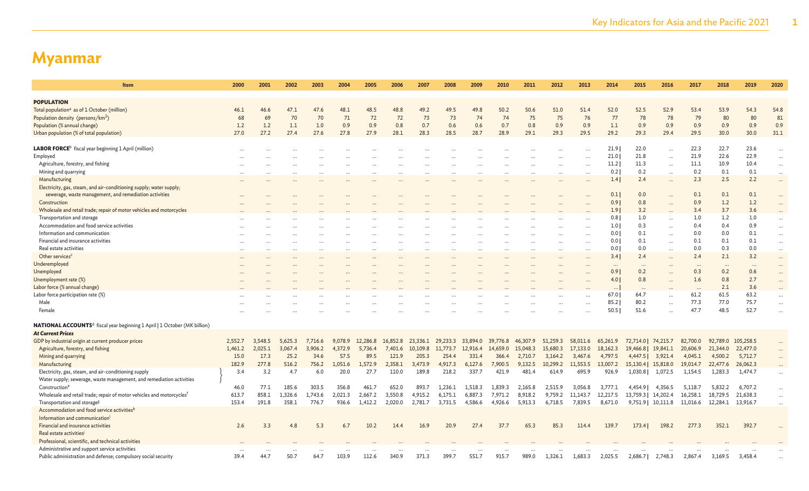| Item                                                                                        | 2000     | 2001    | 2002    | 2003      | 2004     | 2005     | 2006     | 2007      | 2008     | 2009                 | 2010     | 2011     | 2012                 | 2013                 | 2014     | 2015                | 2016                  | 2017     | 2018     | 2019      | 2020                 |
|---------------------------------------------------------------------------------------------|----------|---------|---------|-----------|----------|----------|----------|-----------|----------|----------------------|----------|----------|----------------------|----------------------|----------|---------------------|-----------------------|----------|----------|-----------|----------------------|
|                                                                                             |          |         |         |           |          |          |          |           |          |                      |          |          |                      |                      |          |                     |                       |          |          |           |                      |
| <b>POPULATION</b>                                                                           |          |         |         |           |          |          |          |           |          |                      |          |          |                      |                      |          |                     |                       |          |          |           |                      |
| Total population <sup>a</sup> as of 1 October (million)                                     | 46.1     | 46.6    | 47.1    | 47.6      | 48.1     | 48.5     | 48.8     | 49.2      | 49.5     | 49.8                 | 50.2     | 50.6     | 51.0                 | 51.4                 | 52.0     | 52.5                | 52.9                  | 53.4     | 53.9     | 54.3      | 54.8                 |
| Population density (persons/km <sup>2</sup> )                                               | 68       | 69      | 70      | 70        | 71       | 72       | 72       | 73        | 73       | 74                   | 74       | 75       | 75                   | 76                   | 77       | 78                  | 78                    | 79       | 80       | 80        | 81<br>0.9            |
| Population (% annual change)                                                                | 1.2      | 1.2     | 1.1     | 1.0       | 0.9      | 0.9      | 0.8      | 0.7       | 0.6      | 0.6                  | 0.7      | 0.8      | 0.9                  | 0.9                  | 1.1      | 0.9                 | 0.9                   | 0.9      | 0.9      | 0.9       |                      |
| Urban population (% of total population)                                                    | 27.0     | 27.2    | 27.4    | 27.6      | 27.8     | 27.9     | 28.1     | 28.3      | 28.5     | 28.7                 | 28.9     | 29.1     | 29.3                 | 29.5                 | 29.2     | 29.3                | 29.4                  | 29.5     | 30.0     | 30.0      | 31.1                 |
| <b>LABOR FORCE</b> <sup>b</sup> fiscal year beginning 1 April (million)                     |          |         |         |           |          |          |          |           |          |                      |          |          |                      |                      | 21.9     | 22.0                |                       | 22.3     | 22.7     | 23.6      |                      |
| Employed                                                                                    | $\cdots$ |         |         |           |          |          |          |           |          |                      |          |          |                      |                      | 21.0     | 21.8                | $\ddotsc$             | 21.9     | 22.6     | 22.9      | $\ddotsc$            |
| Agriculture, forestry, and fishing                                                          |          |         |         |           |          |          |          |           |          |                      |          |          |                      |                      | 11.2     | 11.3                | $\ddots$<br>$\ddotsc$ | 11.1     | 10.9     | 10.4      | $\cdots$<br>$\cdots$ |
| Mining and quarrying                                                                        |          |         |         |           |          |          |          | .         |          |                      |          |          | $\ddot{\phantom{a}}$ | $\ddotsc$            | 0.2      | 0.2                 | $\ddots$              | 0.2      | 0.1      | 0.1       | $\cdots$             |
| Manufacturing                                                                               |          |         |         |           |          |          |          |           |          |                      |          |          |                      |                      | 1.4      | 2.4                 | $\sim$                | 2.3      | 2.5      | 2.2       | $\cdots$             |
| Electricity, gas, steam, and air-conditioning supply; water supply;                         |          |         |         |           |          |          |          |           |          |                      |          |          |                      |                      |          |                     |                       |          |          |           |                      |
| sewerage, waste management, and remediation activities                                      |          |         |         |           |          |          |          |           |          |                      |          |          |                      |                      | 0.1      | 0.0                 |                       | 0.1      | 0.1      | 0.1       |                      |
| Construction                                                                                |          |         |         |           |          |          |          |           |          |                      |          |          |                      |                      | 0.91     | 0.8                 |                       | 0.9      | 1.2      | 1.2       | $\cdots$             |
| Wholesale and retail trade; repair of motor vehicles and motorcycles                        |          |         |         |           |          |          |          |           |          |                      |          |          |                      |                      | 1.9      | 3.2                 |                       | 3.4      | 3.7      | 3.6       |                      |
| Transportation and storage                                                                  |          |         |         |           |          |          |          |           |          |                      |          |          |                      |                      | 0.8      | 1.0                 | $\ddots$              | 1.0      | 1.2      | 1.0       |                      |
| Accommodation and food service activities                                                   |          |         |         |           |          |          |          |           |          |                      |          |          |                      |                      | 1.01     | 0.3                 | $\ddots$              | 0.4      | 0.4      | 0.9       | $\cdots$             |
| Information and communication                                                               |          |         |         |           |          |          |          |           |          |                      |          |          |                      |                      | 0.0      | 0.1                 | $\cdots$              | 0.0      | 0.0      | 0.1       | $\cdots$             |
| Financial and insurance activities                                                          | $\cdots$ |         |         | $\cdots$  | $\cdots$ |          | $\cdots$ | $\cdots$  |          | $\cdots$             |          |          | $\cdots$             | $\cdots$             | 0.0      | 0.1                 |                       | 0.1      | 0.1      | 0.1       | $\cdots$             |
| Real estate activities                                                                      | $\cdots$ |         |         | $\ddotsc$ | $\cdots$ |          | $\cdots$ | $\ddotsc$ |          | $\ddot{\phantom{a}}$ |          |          | $\ddotsc$            | $\ddot{\phantom{a}}$ | 0.01     | 0.0                 |                       | 0.0      | 0.3      | 0.0       | $\cdots$             |
| Other services <sup>c</sup>                                                                 | $\cdots$ |         |         |           |          |          |          |           |          |                      |          |          | $\cdots$             | $\cdots$             | 3.4      | 2.4                 | $\cdots$              | 2.4      | 2.1      | 3.2       | $\cdots$             |
| Underemployed                                                                               |          |         |         |           |          |          |          |           |          |                      |          |          |                      |                      | $\cdots$ | $\cdots$            | $\cdots$              | $\cdots$ | $\cdots$ | $\cdots$  |                      |
| Unemployed                                                                                  |          |         |         |           |          |          |          |           |          |                      |          |          |                      |                      | 0.9      | 0.2                 |                       | 0.3      | 0.2      | 0.6       | $\cdots$             |
| Unemployment rate (%)                                                                       |          |         |         |           |          |          |          |           |          |                      |          |          |                      |                      | 4.0      | 0.8                 | $\ddots$              | 1.6      | 0.8      | 2.7       |                      |
| Labor force (% annual change)                                                               |          |         |         |           |          |          |          |           |          |                      |          |          |                      |                      | $\cdots$ | $\ddots$            |                       |          | 2.1      | 3.6       |                      |
| Labor force participation rate (%)                                                          |          |         |         |           |          |          |          |           |          |                      |          |          |                      |                      | 67.0     | 64.7                |                       | 61.2     | 61.5     | 63.2      |                      |
| Male                                                                                        |          |         |         |           |          |          |          |           |          |                      |          |          |                      |                      | 85.2     | 80.2                | $\ddots$              | 77.3     | 77.0     | 75.7      | $\cdots$             |
| Female                                                                                      |          |         |         |           |          |          |          |           |          |                      |          |          |                      |                      | 50.5     | 51.6                |                       | 47.7     | 48.5     | 52.7      |                      |
|                                                                                             |          |         |         |           |          |          |          |           |          |                      |          |          |                      |                      |          |                     |                       |          |          |           |                      |
| <b>NATIONAL ACCOUNTS<sup>d</sup></b> fiscal year beginning 1 April   1 October (MK billion) |          |         |         |           |          |          |          |           |          |                      |          |          |                      |                      |          |                     |                       |          |          |           |                      |
| <b>At Current Prices</b>                                                                    |          |         |         |           |          |          |          |           |          |                      |          |          |                      |                      |          |                     |                       |          |          |           |                      |
| GDP by industrial origin at current producer prices                                         | 2,552.7  | 3,548.5 | 5,625.3 | 7,716.6   | 9,078.9  | 12,286.8 | 16,852.8 | 23,336.1  | 29,233.3 | 33,894.0             | 39,776.8 | 46,307.9 | 51,259.3             | 58,011.6             | 65,261.9 | 72,714.0   74,215.7 |                       | 82,700.0 | 92,789.0 | 105,258.5 |                      |
| Agriculture, forestry, and fishing                                                          | 1,461.2  | 2,025.1 | 3,067.4 | 3,906.2   | 4,372.9  | 5,736.4  | 7,401.6  | 10,109.8  | 11,773.7 | 12,916.4             | 14,659.0 | 15,048.3 | 15,680.3             | 17,133.0             | 18,162.3 | 19,466.8   19,841.1 |                       | 20,606.9 | 21,344.0 | 22,477.0  |                      |
| Mining and quarrying                                                                        | 15.0     | 17.3    | 25.2    | 34.6      | 57.5     | 89.5     | 121.9    | 205.3     | 254.4    | 331.4                | 366.4    | 2,710.7  | 3,164.2              | 3,467.6              | 4,797.5  | 4,447.5             | 3,921.4               | 4,045.1  | 4,500.2  | 5,712.7   |                      |
| Manufacturing                                                                               | 182.9    | 277.8   | 516.2   | 756.2     | 1,051.6  | 1,572.9  | 2,358.1  | 3,473.9   | 4,917.3  | 6,127.6              | 7,900.5  | 9,132.5  | 10,299.2             | 11,553.5             | 13,007.2 | 15,130.4   15,818.0 |                       | 19,014.7 | 22,477.6 | 26,062.3  |                      |
| Electricity, gas, steam, and air-conditioning supply                                        | 3.4      | 3.2     | 4.7     | 6.0       | 20.0     | 27.7     | 110.0    | 189.8     | 218.2    | 337.7                | 421.9    | 481.4    | 614.9                | 695.9                | 926.9    | 1,030.8             | 1,072.5               | 1,154.5  | 1,283.3  | 1,474.7   |                      |
| Water supply; sewerage, waste management, and remediation activities                        |          |         |         |           |          |          |          |           |          |                      |          |          |                      |                      |          |                     |                       |          |          |           |                      |
| Construction <sup>6</sup>                                                                   | 46.0     | 77.1    | 185.6   | 303.5     | 356.8    | 461.7    | 652.0    | 893.7     | 1,236.1  | 1,518.3              | 1,839.3  | 2,165.8  | 2,515.9              | 3,056.8              | 3,777.1  | 4,454.9             | 4,356.5               | 5,118.7  | 5,832.2  | 6,707.2   |                      |
| Wholesale and retail trade; repair of motor vehicles and motorcycles <sup>f</sup>           | 613.7    | 858.1   | 1,326.6 | 1,743.6   | 2,021.3  | 2,667.2  | 3,550.8  | 4,915.2   | 6.175.1  | 6,887.3              | 7,971.2  | 8,918.2  | 9.759.2              | 11.143.7             | 12,217.5 | 13,759.3            | 14,202.4              | 16,258.1 | 18,729.5 | 21,638.3  | $\cdots$             |
| Transportation and storage <sup>g</sup>                                                     | 153.4    | 191.8   | 358.1   | 776.7     | 936.6    | 1,412.2  | 2,020.0  | 2,781.7   | 3,731.5  | 4,586.6              | 4,926.6  | 5,913.3  | 6,718.5              | 7,839.5              | 8,671.0  |                     | 9,751.9   10,111.8    | 11,016.6 | 12,284.1 | 13,916.7  | $\cdots$             |
| Accommodation and food service activities <sup>t</sup>                                      |          |         |         |           |          |          |          |           |          |                      |          |          |                      |                      |          |                     |                       |          |          |           |                      |
| Information and communication <sup>i</sup>                                                  |          |         |         |           |          |          |          |           |          |                      |          |          |                      |                      |          |                     |                       |          |          |           |                      |
| Financial and insurance activities                                                          | 2.6      | 3.3     | 4.8     | 5.3       | 6.7      | 10.2     | 14.4     | 16.9      | 20.9     | 27.4                 | 37.7     | 65.3     | 85.3                 | 114.4                | 139.7    | 173.4               | 198.2                 | 277.3    | 352.1    | 392.7     |                      |
| Real estate activities                                                                      |          |         |         |           |          |          |          |           |          |                      |          |          |                      |                      |          |                     |                       |          |          |           |                      |
| Professional, scientific, and technical activities                                          |          |         |         |           |          |          |          |           |          |                      |          |          |                      |                      |          |                     |                       |          |          |           |                      |
| Administrative and support service activities                                               | $\cdots$ |         |         |           |          |          |          |           |          |                      |          |          |                      |                      |          |                     |                       |          |          |           |                      |
| Public administration and defense; compulsory social security                               | 39.4     | 44.7    | 50.7    | 64.7      | 103.9    | 112.6    | 340.9    | 371.3     | 399.7    | 551.7                | 915.7    | 989.0    | 1,326.1              | 1,683.3              | 2,025.5  | 2,686.7             | 2,748.3               | 2,867.4  | 3,169.5  | 3,458.4   |                      |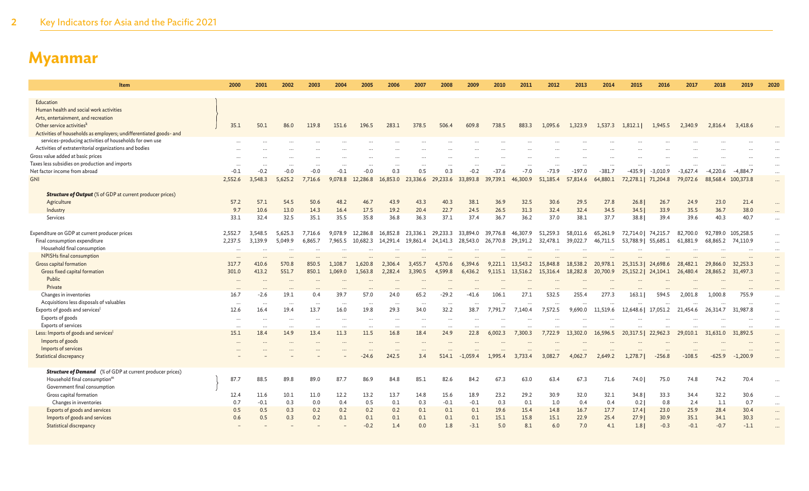| Item                                                               | 2000     | 2001                 | 2002           | 2003           | 2004     | 2005      | 2006     | 2007      | 2008     | 2009       | 2010     | 2011              | 2012     | 2013     | 2014     | 2015                | 2016       | 2017       | 2018       | 2019       | 2020                 |
|--------------------------------------------------------------------|----------|----------------------|----------------|----------------|----------|-----------|----------|-----------|----------|------------|----------|-------------------|----------|----------|----------|---------------------|------------|------------|------------|------------|----------------------|
| Education                                                          |          |                      |                |                |          |           |          |           |          |            |          |                   |          |          |          |                     |            |            |            |            |                      |
| Human health and social work activities                            |          |                      |                |                |          |           |          |           |          |            |          |                   |          |          |          |                     |            |            |            |            |                      |
| Arts, entertainment, and recreation                                |          |                      |                |                |          |           |          |           |          |            |          |                   |          |          |          |                     |            |            |            |            |                      |
| Other service activities <sup>k</sup>                              | 35.1     | 50.1                 | 86.0           | 119.8          | 151.6    | 196.5     | 283.1    | 378.5     | 506.4    | 609.8      | 738.5    | 883.3             | 1,095.6  | 1,323.9  | 1,537.3  | 1,812.1             | 1,945.5    | 2,340.9    | 2,816.4    | 3,418.6    |                      |
| Activities of households as employers; undifferentiated goods- and |          |                      |                |                |          |           |          |           |          |            |          |                   |          |          |          |                     |            |            |            |            |                      |
| services-producing activities of households for own use            |          |                      |                |                |          |           |          |           |          |            |          |                   |          |          |          |                     |            |            |            |            |                      |
| Activities of extraterritorial organizations and bodies            |          |                      |                |                |          |           |          |           |          |            |          |                   |          |          |          |                     |            |            |            |            |                      |
| Gross value added at basic prices                                  |          |                      |                |                |          |           |          |           |          |            |          |                   |          |          |          |                     |            |            |            |            | $\cdots$             |
| Taxes less subsidies on production and imports                     | $\cdots$ |                      |                |                |          |           |          |           |          |            |          |                   |          |          |          |                     |            |            |            |            | $\cdots$             |
| Net factor income from abroad                                      | $-0.1$   | $-0.2$               | $-0.0$         | $-0.0$         | $-0.1$   | $-0.0$    | 0.3      | 0.5       | 0.3      | $-0.2$     | $-37.6$  | $-7.0$            | $-73.9$  | $-197.0$ | $-381.7$ | -435.9              | $-3.010.9$ | $-3.627.4$ | $-4,220.6$ | $-4,884.7$ |                      |
| <b>GNI</b>                                                         | 2,552.6  | 3,548.3              | 5,625.2        | 7,716.6        | 9,078.8  | 12,286.8  | 16,853.0 | 23,336.6  | 29,233.6 | 33,893.8   | 39,739.1 | 46,300.9          | 51,185.4 | 57,814.6 | 64,880.1 | 72,278.1 71,204.8   |            | 79,072.6   | 88,568.4   | 100,373.8  |                      |
| <b>Structure of Output</b> (% of GDP at current producer prices)   |          |                      |                |                |          |           |          |           |          |            |          |                   |          |          |          |                     |            |            |            |            |                      |
| Agriculture                                                        | 57.2     | 57.1                 | 54.5           | 50.6           | 48.2     | 46.7      | 43.9     | 43.3      | 40.3     | 38.1       | 36.9     | 32.5              | 30.6     | 29.5     | 27.8     | 26.8                | 26.7       | 24.9       | 23.0       | 21.4       |                      |
| Industry                                                           | 9.7      | 10.6                 | 13.0           | 14.3           | 16.4     | 17.5      | 19.2     | 20.4      | 22.7     | 24.5       | 26.5     | 31.3              | 32.4     | 32.4     | 34.5     | 34.5                | 33.9       | 35.5       | 36.7       | 38.0       |                      |
| Services                                                           | 33.1     | 32.4                 | 32.5           | 35.1           | 35.5     | 35.8      | 36.8     | 36.3      | 37.1     | 37.4       | 36.7     | 36.2              | 37.0     | 38.1     | 37.7     | 38.81               | 39.4       | 39.6       | 40.3       | 40.7       | $\ddot{\phantom{a}}$ |
|                                                                    |          |                      |                |                |          |           |          |           |          |            |          |                   |          |          |          |                     |            |            |            |            |                      |
| Expenditure on GDP at current producer prices                      | 2,552.7  | 3,548.5              | 5.625.3        | 7,716.6        | 9,078.9  | 12,286.8  | 16,852.8 | 23,336.1  | 29,233.3 | 33,894.0   | 39,776.8 | 46,307.9          | 51,259.3 | 58,011.6 | 65,261.9 | 72,714.0            | 74,215.7   | 82,700.0   | 92,789.0   | 105,258.5  | $\cdots$             |
| Final consumption expenditure                                      | 2,237.5  | 3,139.9              | 5,049.9        | 6,865.7        | 7,965.5  | 10,682.3  | 14,291.4 | 19,861.4  | 24,141.3 | 28,543.0   |          | 26,770.8 29,191.2 | 32,478.1 | 39,022.7 | 46,711.5 | 53,788.9   55,685.1 |            | 61,881.9   | 68,865.2   | 74,110.9   | $\cdots$             |
| Household final consumption                                        |          |                      |                |                |          |           |          |           |          |            |          |                   |          |          |          |                     |            |            |            |            | $\cdots$             |
| NPISHs final consumption                                           | $\cdots$ |                      |                |                |          |           |          |           |          |            |          |                   |          |          |          |                     |            |            |            |            |                      |
| Gross capital formation                                            | 317.7    | 410.6<br>413.2       | 570.8<br>551.7 | 850.5<br>850.1 | 1,108.7  | 1,620.8   | 2,306.4  | 3,455.7   | 4,570.6  | 6,394.6    | 9.221.1  | 13,543.2          | 15,848.8 | 18,538.2 | 20,978.1 | 25,315.3            | 24,698.6   | 28,482.1   | 29,866.0   | 32,253.3   | $\cdots$             |
| Gross fixed capital formation<br>Public                            | 301.0    |                      |                |                | 1,069.0  | 1,563.8   | 2,282.4  | 3,390.5   | 4,599.8  | 6,436.2    |          | 9,115.1 13,516.2  | 15,316.4 | 18,282.8 | 20,700.9 | 25,152.2   24,104.1 |            | 26,480.4   | 28,865.2   | 31,497.3   | $\cdots$             |
| Private                                                            |          |                      |                |                |          |           |          |           |          |            |          |                   |          |          |          |                     |            |            |            |            |                      |
| Changes in inventories                                             | 16.7     | $-2.6$               | 19.1           | 0.4            | 39.7     | 57.0      | 24.0     | 65.2      | $-29.2$  | -41.6      | 106.1    | 27.1              | 532.5    | 255.4    | 277.3    | 163.1               | 594.5      | 2,001.8    | 1,000.8    | 755.9      | $\ldots$             |
| Acquisitions less disposals of valuables                           | $\cdots$ |                      |                |                |          |           |          |           |          |            |          |                   |          |          |          |                     |            |            |            |            |                      |
| Exports of goods and services                                      | 12.6     | 16.4                 | 19.4           | 13.7           | 16.0     | 19.8      | 29.3     | 34.0      | 32.2     | 38.7       | 7.791.7  | 7.140.4           | 7,572.5  | 9,690.0  | 11,519.6 | 12,648.6            | 17,051.2   | 21.454.6   | 26.314.7   | 31,987.8   | $\cdots$             |
| Exports of goods                                                   | $\cdots$ |                      |                | $\cdots$       |          |           |          | $\ddotsc$ | $\ddots$ |            |          |                   |          |          |          |                     |            |            |            |            | $\cdots$             |
| Exports of services                                                | $\cdots$ | $\ddot{\phantom{a}}$ |                | $\ddotsc$      | $\cdots$ | $\ddotsc$ | $\cdots$ | $\ddotsc$ | $\cdots$ |            |          |                   |          |          |          |                     |            |            |            |            | $\cdots$             |
| Less: Imports of goods and services                                | 15.1     | 18.4                 | 14.9           | 13.4           | 11.3     | 11.5      | 16.8     | 18.4      | 24.9     | 22.8       | 6,002.3  | 7,300.3           | 7,722.9  | 13,302.0 | 16,596.5 | 20,317.5            | 22,962.3   | 29,010.1   | 31,631.0   | 31,892.5   | $\cdots$             |
| Imports of goods                                                   |          |                      |                |                |          |           |          |           |          |            |          |                   |          |          |          |                     |            |            |            |            | $\cdots$             |
| Imports of services                                                |          |                      |                |                |          |           |          |           |          |            |          |                   |          |          |          |                     |            |            |            |            | $\cdots$             |
| <b>Statistical discrepancy</b>                                     |          |                      |                |                |          | $-24.6$   | 242.5    | 3.4       | 514.1    | $-1,059.4$ | 1,995.4  | 3,733.4           | 3,082.7  | 4,062.7  | 2,649.2  | 1,278.7             | $-256.8$   | $-108.5$   | $-625.9$   | $-1,200.9$ |                      |
| <b>Structure of Demand</b> (% of GDP at current producer prices)   |          |                      |                |                |          |           |          |           |          |            |          |                   |          |          |          |                     |            |            |            |            |                      |
| Household final consumption <sup>m</sup>                           | 87.7     | 88.5                 | 89.8           | 89.0           | 87.7     | 86.9      | 84.8     | 85.1      | 82.6     | 84.2       | 67.3     | 63.0              | 63.4     | 67.3     | 71.6     | 74.0                | 75.0       | 74.8       | 74.2       | 70.4       | $\cdots$             |
| Government final consumption                                       |          |                      |                |                |          |           |          |           |          |            |          |                   |          |          |          |                     |            |            |            |            |                      |
| Gross capital formation                                            | 12.4     | 11.6                 | 10.1           | 11.0           | 12.2     | 13.2      | 13.7     | 14.8      | 15.6     | 18.9       | 23.2     | 29.2              | 30.9     | 32.0     | 32.1     | 34.8                | 33.3       | 34.4       | 32.2       | 30.6       | $\cdots$             |
| Changes in inventories                                             | 0.7      | $-0.1$               | 0.3            | 0.0            | 0.4      | 0.5       | 0.1      | 0.3       | $-0.1$   | $-0.1$     | 0.3      | 0.1               | 1.0      | 0.4      | 0.4      | 0.2                 | 0.8        | 2.4        | 1.1        | 0.7        | $\cdots$             |
| Exports of goods and services                                      | 0.5      | 0.5                  | 0.3            | 0.2            | 0.2      | 0.2       | 0.2      | 0.1       | 0.1      | 0.1        | 19.6     | 15.4              | 14.8     | 16.7     | 17.7     | 17.4                | 23.0       | 25.9       | 28.4       | 30.4       | $\cdots$             |
| Imports of goods and services                                      | 0.6      | 0.5                  | 0.3            | 0.2            | 0.1      | 0.1       | 0.1      | 0.1       | 0.1      | 0.1        | 15.1     | 15.8              | 15.1     | 22.9     | 25.4     | 27.91               | 30.9       | 35.1       | 34.1       | 30.3       | $\cdots$             |
| <b>Statistical discrepancy</b>                                     |          |                      |                |                |          | $-0.2$    | 1.4      | 0.0       | 1.8      | $-3.1$     | 5.0      | 8.1               | 6.0      | 7.0      | 4.1      | 1.8                 | $-0.3$     | $-0.1$     | $-0.7$     | $-1.1$     |                      |
|                                                                    |          |                      |                |                |          |           |          |           |          |            |          |                   |          |          |          |                     |            |            |            |            |                      |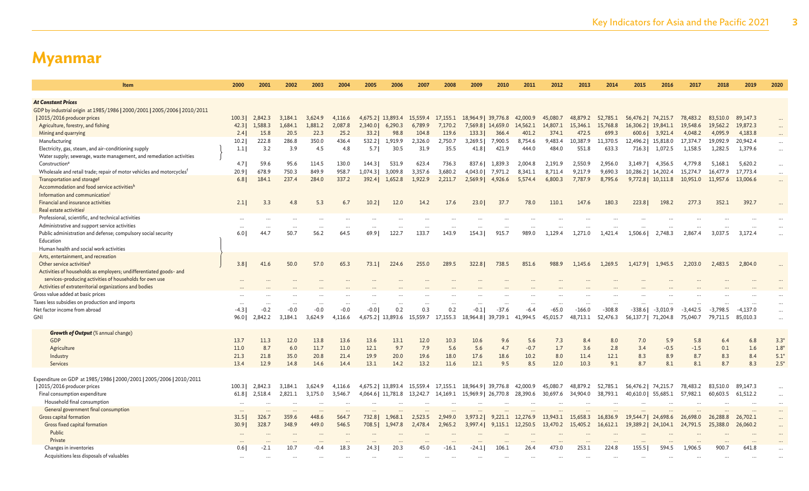| <b>Item</b>                                                                                                    | 2000        | 2001              | 2002              | 2003              | 2004           | 2005             | 2006                      | 2007             | 2008                     | 2009                | 2010                | 2011               | 2012                | 2013                 | 2014                 | 2015                 | 2016                | 2017                | 2018                   | 2019                | 2020   |
|----------------------------------------------------------------------------------------------------------------|-------------|-------------------|-------------------|-------------------|----------------|------------------|---------------------------|------------------|--------------------------|---------------------|---------------------|--------------------|---------------------|----------------------|----------------------|----------------------|---------------------|---------------------|------------------------|---------------------|--------|
|                                                                                                                |             |                   |                   |                   |                |                  |                           |                  |                          |                     |                     |                    |                     |                      |                      |                      |                     |                     |                        |                     |        |
| <b>At Constant Prices</b>                                                                                      |             |                   |                   |                   |                |                  |                           |                  |                          |                     |                     |                    |                     |                      |                      |                      |                     |                     |                        |                     |        |
| GDP by industrial origin at 1985/1986   2000/2001   2005/2006   2010/2011                                      |             |                   |                   |                   |                |                  |                           |                  |                          |                     |                     |                    |                     |                      |                      |                      |                     |                     |                        |                     |        |
| 2015/2016 producer prices                                                                                      | 100.3       | 2,842.3           | 3.184.1           | 3,624.9           | 4,116.6        | 4,675.2          | 13,893.4                  | 15,559.4         | 17,155.1                 | 18,964.9            | 39,776.8            | 42,000.9           | 45,080.7            | 48,879.2             | 52,785.1             | 56,476.2             | 74,215.7            | 78,483.2            | 83,510.0               | 89,147.3            |        |
| Agriculture, forestry, and fishing                                                                             | 42.3        | 1,588.3           | 1.684.1           | 1,881.2           | 2,087.8        | 2.340.0          | 6,290.3                   | 6,789.9          | 7,170.2                  | 7,569.8             | 14,659.0            | 14,562.1           | 14,807.1            | 15,346.1             | 15,768.8             | 16,306.21            | 19,841.1            | 19,548.6            | 19,562.2               | 19,872.3            |        |
| Mining and quarrying                                                                                           | 2.4         | 15.8              | 20.5              | 22.3              | 25.2           | 33.2             | 98.8                      | 104.8            | 119.6                    | 133.3               | 366.4               | 401.2              | 374.1               | 472.5                | 699.3                | 600.6                | 3,921.4             | 4,048.2             | 4,095.9                | 4,183.8             |        |
| Manufacturing                                                                                                  | 10.2        | 222.8             | 286.8             | 350.0             | 436.4          | 532.2            | 1,919.9                   | 2,326.0          | 2,750.7                  | 3,269.5             | 7,900.5             | 8,754.6            | 9,483.4             | 10,387.9             | 11,370.5             | 12,496.2             | 15,818.0            | 17,374.7            | 19,092.9               | 20,942.4            |        |
| Electricity, gas, steam, and air-conditioning supply                                                           | 1.1         | 3.2               | 3.9               | 4.5               | 4.8            | 5.7              | 30.5                      | 31.9             | 35.5                     | 41.8                | 421.9               | 444.0              | 484.0               | 551.8                | 633.3                | 716.3                | 1,072.5             | 1,158.5             | 1,282.5                | 1,379.6             |        |
| Water supply; sewerage, waste management, and remediation activities                                           |             |                   |                   |                   |                |                  |                           |                  |                          |                     |                     |                    |                     |                      |                      |                      |                     |                     |                        |                     |        |
| Construction <sup>e</sup><br>Wholesale and retail trade; repair of motor vehicles and motorcycles <sup>f</sup> | 4.7<br>20.9 | 59.6<br>678.9     | 95.6<br>750.3     | 114.5<br>849.9    | 130.0<br>958.7 | 144.3<br>1,074.3 | 531.9<br>3,009.8          | 623.4<br>3,357.6 | 736.3<br>3,680.2         | 837.6<br>4,043.0    | 1.839.3             | 2.004.8<br>8,341.1 | 2,191.9<br>8,711.4  | 2,550.9<br>9,217.9   | 2,956.0<br>9,690.3   | 3,149.7<br>10,286.2  | 4.356.5<br>14,202.4 | 4,779.8<br>15,274.7 | 5,168.1<br>16,477.9    | 5,620.2<br>17,773.4 |        |
| Transportation and storage <sup>g</sup>                                                                        | 6.81        | 184.1             | 237.4             | 284.0             | 337.2          | 392.4            | 1.652.8                   | 1,922.9          | 2,211.7                  | 2,569.9             | 7,971.2<br>4,926.6  | 5,574.4            | 6,800.3             | 7,787.9              | 8,795.6              |                      | 9,772.8   10,111.8  | 10,951.0            | 11,957.6               | 13,006.6            |        |
| Accommodation and food service activities <sup>h</sup>                                                         |             |                   |                   |                   |                |                  |                           |                  |                          |                     |                     |                    |                     |                      |                      |                      |                     |                     |                        |                     |        |
| Information and communication <sup>i</sup>                                                                     |             |                   |                   |                   |                |                  |                           |                  |                          |                     |                     |                    |                     |                      |                      |                      |                     |                     |                        |                     |        |
| Financial and insurance activities                                                                             | 2.1         | 3.3               | 4.8               | 5.3               | 6.7            | 10.2             | 12.0                      | 14.2             | 17.6                     | 23.01               | 37.7                | 78.0               | 110.1               | 147.6                | 180.3                | 223.8                | 198.2               | 277.3               | 352.1                  | 392.7               |        |
| Real estate activities <sup>j</sup>                                                                            |             |                   |                   |                   |                |                  |                           |                  |                          |                     |                     |                    |                     |                      |                      |                      |                     |                     |                        |                     |        |
| Professional, scientific, and technical activities                                                             |             |                   |                   | $\cdots$          |                |                  |                           |                  |                          |                     |                     |                    |                     |                      |                      |                      |                     |                     |                        |                     |        |
| Administrative and support service activities                                                                  |             |                   | $\cdots$          | $\cdots$          |                |                  |                           |                  |                          |                     |                     |                    |                     |                      |                      |                      |                     |                     |                        |                     |        |
| Public administration and defense; compulsory social security                                                  | 6.0         | 44.7              | 50.7              | 56.2              | 64.5           | 69.91            | 122.7                     | 133.7            | 143.9                    | 154.3               | 915.7               | 989.0              | 1,129.4             | 1.271.0              | 1,421.4              | 1,506.6              | 2,748.3             | 2.867.4             | 3,037.5                | 3,172.4             |        |
| Education                                                                                                      |             |                   |                   |                   |                |                  |                           |                  |                          |                     |                     |                    |                     |                      |                      |                      |                     |                     |                        |                     |        |
| Human health and social work activities                                                                        |             |                   |                   |                   |                |                  |                           |                  |                          |                     |                     |                    |                     |                      |                      |                      |                     |                     |                        |                     |        |
| Arts, entertainment, and recreation                                                                            |             |                   |                   |                   |                |                  |                           |                  |                          |                     |                     |                    |                     |                      |                      |                      |                     |                     |                        |                     |        |
| Other service activities <sup>k</sup>                                                                          | 3.81        | 41.6              | 50.0              | 57.0              | 65.3           | 73.1             | 224.6                     | 255.0            | 289.5                    | 322.8               | 738.5               | 851.6              | 988.9               | 1,145.6              | 1,269.5              | 1,417.9              | 1,945.5             | 2,203.0             | 2,483.5                | 2,804.0             |        |
| Activities of households as employers; undifferentiated goods- and                                             |             |                   |                   |                   |                |                  |                           |                  |                          |                     |                     |                    |                     |                      |                      |                      |                     |                     |                        |                     |        |
| services-producing activities of households for own use                                                        |             |                   |                   |                   |                |                  |                           |                  |                          |                     |                     |                    |                     |                      |                      |                      |                     |                     |                        |                     |        |
| Activities of extraterritorial organizations and bodies                                                        |             |                   |                   |                   |                |                  |                           |                  |                          |                     |                     |                    |                     |                      |                      |                      |                     |                     |                        |                     |        |
| Gross value added at basic prices                                                                              |             |                   |                   |                   |                |                  |                           |                  |                          |                     |                     |                    |                     |                      |                      |                      |                     |                     |                        |                     |        |
| Taxes less subsidies on production and imports                                                                 |             |                   |                   |                   |                |                  |                           |                  |                          |                     |                     |                    |                     |                      |                      |                      |                     |                     |                        |                     |        |
| Net factor income from abroad<br>GNI                                                                           | $-4.3$      | $-0.2$<br>2,842.2 | $-0.0$<br>3.184.1 | $-0.0$<br>3.624.9 | $-0.0$         | $-0.01$          | 0.2<br>4,675.2   13,893.6 | 0.3              | 0.2<br>15,559.7 17,155.3 | $-0.1$<br>18.964.81 | $-37.6$<br>39,739.1 | $-6.4$<br>41.994.5 | $-65.0$<br>45,015.7 | $-166.0$<br>48,713.1 | $-308.8$<br>52,476.3 | $-338.6$             | $-3,010.9$          | $-3,442.5$          | $-3,798.5$<br>79.711.5 | $-4,137.0$          |        |
|                                                                                                                | 96.01       |                   |                   |                   | 4,116.6        |                  |                           |                  |                          |                     |                     |                    |                     |                      |                      | 56,137.7             | 71,204.8            | 75,040.7            |                        | 85,010.3            |        |
| <b>Growth of Output</b> (% annual change)                                                                      |             |                   |                   |                   |                |                  |                           |                  |                          |                     |                     |                    |                     |                      |                      |                      |                     |                     |                        |                     |        |
| GDP                                                                                                            | 13.7        | 11.3              | 12.0              | 13.8              | 13.6           | 13.6             | 13.1                      | 12.0             | 10.3                     | 10.6                | 9.6                 | 5.6                | 7.3                 | 8.4                  | 8.0                  | 7.0                  | 5.9                 | 5.8                 | 6.4                    | 6.8                 | $3.3*$ |
| Agriculture                                                                                                    | 11.0        | 8.7               | 6.0               | 11.7              | 11.0           | 12.1             | 9.7                       | 7.9              | 5.6                      | 5.6                 | 4.7                 | $-0.7$             | 1.7                 | 3.6                  | 2.8                  | 3.4                  | $-0.5$              | $-1.5$              | 0.1                    | 1.6                 | $1.8*$ |
| Industry                                                                                                       | 21.3        | 21.8              | 35.0              | 20.8              | 21.4           | 19.9             | 20.0                      | 19.6             | 18.0                     | 17.6                | 18.6                | 10.2               | 8.0                 | 11.4                 | 12.1                 | 8.3                  | 8.9                 | 8.7                 | 8.3                    | 8.4                 | 5.1    |
| Services                                                                                                       | 13.4        | 12.9              | 14.8              | 14.6              | 14.4           | 13.1             | 14.2                      | 13.2             | 11.6                     | 12.1                | 9.5                 | 8.5                | 12.0                | 10.3                 | 9.1                  | 8.7                  | 8.1                 | 8.1                 | 8.7                    | 8.3                 | 2.5'   |
|                                                                                                                |             |                   |                   |                   |                |                  |                           |                  |                          |                     |                     |                    |                     |                      |                      |                      |                     |                     |                        |                     |        |
| Expenditure on GDP at 1985/1986   2000/2001   2005/2006   2010/2011                                            |             |                   |                   |                   |                |                  |                           |                  |                          |                     |                     |                    |                     |                      |                      |                      |                     |                     |                        |                     |        |
| 2015/2016 producer prices                                                                                      | 100.3       | 2,842.3           | 3,184.1           | 3,624.9           | 4,116.6        |                  | 4,675.2   13,893.4        | 15,559.4         | 17,155.1                 |                     | 18,964.9 39,776.8   | 42,000.9           | 45,080.7            | 48,879.2             | 52,785.1             | 56,476.2             | 74,215.7            | 78,483.2            | 83,510.0               | 89,147.3            |        |
| Final consumption expenditure                                                                                  | 61.8        | 2,518.4           | 2,821.1           | 3,175.0           | 3,546.7        |                  | 4,064.6   11,781.8        | 13,242.7         | 14,169.1                 | 15,969.9  26,770.8  |                     | 28,390.6           | 30,697.6            | 34,904.0             | 38,793.1             | 40,610.0             | 55,685.1            | 57,982.1            | 60,603.5               | 61,512.2            |        |
| Household final consumption                                                                                    | $\cdots$    |                   |                   | $\cdots$          |                |                  |                           |                  |                          |                     |                     |                    |                     |                      |                      |                      |                     |                     |                        |                     |        |
| General government final consumption                                                                           | $\cdots$    |                   |                   | $\cdots$          |                |                  |                           |                  |                          |                     |                     |                    |                     |                      |                      |                      |                     |                     |                        |                     |        |
| Gross capital formation                                                                                        | 31.5        | 326.7             | 359.6             | 448.6             | 564.7          | 732.8            | 1,968.1                   | 2,523.5          | 2,949.0                  | 3,973.2             |                     | 9,221.1 12,276.9   |                     | 13,943.1 15,658.3    | 16,836.9             | 19,544.7   24,698.6  |                     | 26,698.0            | 26,288.8               | 26,702.1            |        |
| Gross fixed capital formation                                                                                  | 30.9        | 328.7             | 348.9             | 449.0             | 546.5          | 708.5            | 1,947.8                   | 2,478.4          | 2,965.2                  | 3,997.4             |                     | 9,115.1 12,250.5   | 13,470.2            | 15,405.2             | 16,612.1             | 19,389.2             | 24,104.1            | 24,791.5            | 25,388.0               | 26,060.2            |        |
| Public                                                                                                         |             |                   |                   |                   |                |                  |                           |                  |                          |                     |                     |                    |                     |                      |                      |                      |                     |                     |                        |                     |        |
| Private                                                                                                        |             |                   |                   |                   |                |                  |                           |                  |                          |                     |                     |                    |                     |                      |                      |                      |                     |                     |                        |                     |        |
| Changes in inventories                                                                                         | 0.61        | $-2.1$            | 10.7              | $-0.4$            | 18.3           | 24.3             | 20.3                      | 45.0             | $-16.1$                  | $-24.1$             | 106.1               | 26.4               | 473.0               | 253.1                | 224.8                | 155.5                | 594.5               | 1,906.5             | 900.7                  | 641.8               |        |
| Acquisitions less disposals of valuables                                                                       |             |                   |                   |                   |                |                  |                           |                  |                          |                     |                     |                    |                     |                      |                      | $\ddot{\phantom{a}}$ |                     |                     |                        |                     |        |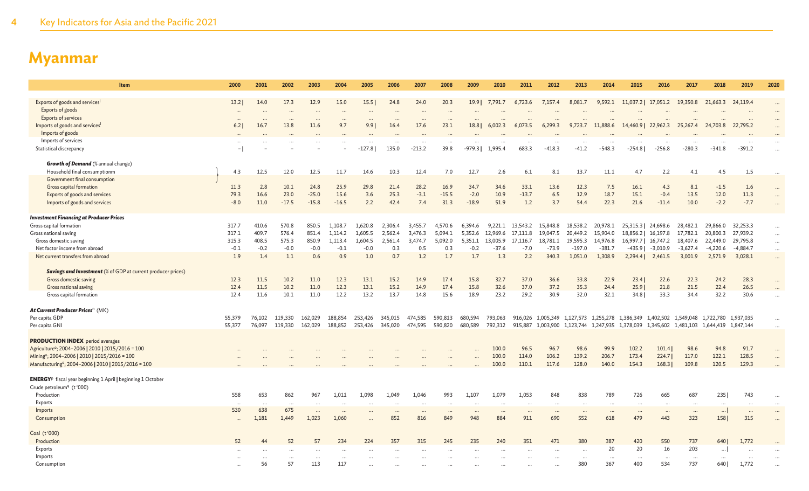| Item                                                                           | 2000     | 2001     | 2002    | 2003      | 2004     | 2005                 | 2006              | 2007         | 2008      | 2009          | 2010                | 2011               | 2012                 | 2013                | 2014                 | 2015                | 2016                | 2017                 | 2018                                                                            | 2019                 | 2020      |
|--------------------------------------------------------------------------------|----------|----------|---------|-----------|----------|----------------------|-------------------|--------------|-----------|---------------|---------------------|--------------------|----------------------|---------------------|----------------------|---------------------|---------------------|----------------------|---------------------------------------------------------------------------------|----------------------|-----------|
|                                                                                |          |          |         |           |          |                      |                   |              |           |               |                     |                    |                      |                     |                      |                     |                     |                      |                                                                                 |                      |           |
| Exports of goods and services                                                  | 13.2     | 14.0     | 17.3    | 12.9      | 15.0     | 15.5                 | 24.8              | 24.0         | 20.3      | $19.9$        | 7,791.7             | 6,723.6            | 7,157.4              | 8,081.7             | 9,592.1              | 11,037.2   17,051.2 |                     | 19,350.8             | 21,663.3                                                                        | 24,119.4             | $\cdots$  |
| Exports of goods                                                               | $\cdots$ | $\cdots$ |         | $\cdots$  | $\cdots$ | $\cdots$             | $\cdots$          | $\cdots$     |           |               |                     |                    |                      |                     |                      |                     |                     |                      |                                                                                 | $\cdots$             | $\cdots$  |
| Exports of services                                                            | $\cdots$ |          |         | $\ddots$  | $\cdots$ |                      |                   | $\ddotsc$    | $\ddotsc$ |               |                     |                    |                      |                     |                      |                     |                     |                      |                                                                                 | $\cdots$             | $\cdots$  |
| Imports of goods and services                                                  | 6.2      | 16.7     | 13.8    | 11.6      | 9.7      | 9.9                  | 16.4              | 17.6         | 23.1      | 18.8          | 6,002.3             | 6,073.5            | 6,299.3              | 9,723.7             | 11,888.6             | 14,460.9   22,962.3 |                     | 25,267.4             | 24,703.8                                                                        | 22,795.2             | $\cdots$  |
| Imports of goods                                                               |          |          |         |           |          |                      |                   |              |           |               |                     |                    |                      |                     |                      |                     |                     |                      |                                                                                 |                      |           |
| Imports of services<br>Statistical discrepancy                                 | $\cdots$ |          |         | $\ddotsc$ |          | $\cdots$<br>$-127.8$ | $\cdots$<br>135.0 | <br>$-213.2$ | <br>39.8  | <br>$-979.31$ | $\cdots$<br>1,995.4 | $\ddotsc$<br>683.3 | $\cdots$<br>$-418.3$ | <br>$-41.2$         | $\cdots$<br>$-548.3$ | <br>$-254.81$       | $-256.8$            | $\cdots$<br>$-280.3$ | <br>$-341.8$                                                                    | $\cdots$<br>$-391.2$ | $\cdots$  |
|                                                                                |          |          |         |           |          |                      |                   |              |           |               |                     |                    |                      |                     |                      |                     |                     |                      |                                                                                 |                      | $\cdots$  |
| <b>Growth of Demand</b> (% annual change)                                      |          |          |         |           |          |                      |                   |              |           |               |                     |                    |                      |                     |                      |                     |                     |                      |                                                                                 |                      |           |
| Household final consumptionm                                                   | 4.3      | 12.5     | 12.0    | 12.5      | 11.7     | 14.6                 | 10.3              | 12.4         | 7.0       | 12.7          | 2.6                 | 6.1                | 8.1                  | 13.7                | 11.1                 | 4.7                 | 2.2                 | 4.1                  | 4.5                                                                             | 1.5                  | $\cdots$  |
| Government final consumption                                                   |          |          |         |           |          |                      |                   |              |           |               |                     |                    |                      |                     |                      |                     |                     |                      |                                                                                 |                      |           |
| Gross capital formation                                                        | 11.3     | 2.8      | 10.1    | 24.8      | 25.9     | 29.8                 | 21.4              | 28.2         | 16.9      | 34.7          | 34.6                | 33.1               | 13.6                 | 12.3                | 7.5                  | 16.1                | 4.3                 | 8.1                  | $-1.5$                                                                          | 1.6                  | $\dots$   |
| Exports of goods and services                                                  | 79.3     | 16.6     | 23.0    | $-25.0$   | 15.6     | 3.6                  | 25.3              | $-3.1$       | $-15.5$   | $-2.0$        | 10.9                | $-13.7$            | 6.5                  | 12.9                | 18.7                 | 15.1                | $-0.4$              | 13.5                 | 12.0                                                                            | 11.3                 | $\ldots$  |
| Imports of goods and services                                                  | $-8.0$   | 11.0     | $-17.5$ | $-15.8$   | $-16.5$  | 2.2                  | 42.4              | 7.4          | 31.3      | $-18.9$       | 51.9                | 1.2                | 3.7                  | 54.4                | 22.3                 | 21.6                | $-11.4$             | 10.0                 | $-2.2$                                                                          | $-7.7$               | $\cdots$  |
|                                                                                |          |          |         |           |          |                      |                   |              |           |               |                     |                    |                      |                     |                      |                     |                     |                      |                                                                                 |                      |           |
| <b>Investment Financing at Producer Prices</b>                                 |          |          |         |           |          |                      |                   |              |           |               |                     |                    |                      |                     |                      |                     |                     |                      |                                                                                 |                      |           |
| Gross capital formation                                                        | 317.7    | 410.6    | 570.8   | 850.5     | 1.108.7  | 1.620.8              | 2.306.4           | 3.455.7      | 4.570.6   | 6.394.6       | 9.221.1             | 13.543.2           | 15,848.8             | 18,538.2            | 20,978.1             | 25,315.3   24,698.6 |                     | 28,482.1             | 29,866.0                                                                        | 32,253.3             | $\cdots$  |
| Gross national saving                                                          | 317.1    | 409.7    | 576.4   | 851.4     | 1,114.2  | 1,605.5              | 2.562.4           | 3,476.3      | 5.094.1   | 5.352.6       | 12.969.6            | 17.111.8           | 19,047.5             | 20,449.2            | 15,904.0             |                     | 18,856.2   16,197.8 | 17,782.1             | 20,800.3                                                                        | 27,939.2             | $\ldots$  |
| Gross domestic saving                                                          | 315.3    | 408.5    | 575.3   | 850.9     | 1,113.4  | 1,604.5              | 2,561.4           | 3,474.7      | 5,092.0   | 5,351.1       | 13,005.9            | 17,116.7           | 18,781.1             | 19,595.3            | 14,976.8             |                     | 16,997.7   16,747.2 | 18,407.6             | 22,449.0                                                                        | 29,795.8             | $\cdots$  |
| Net factor income from abroad                                                  | $-0.1$   | $-0.2$   | $-0.0$  | $-0.0$    | $-0.1$   | $-0.0$               | 0.3               | 0.5          | 0.3       | $-0.2$        | $-37.6$             | $-7.0$             | $-73.9$              | $-197.0$            | $-381.7$             | $-435.9$            | $-3,010.9$          | $-3,627.4$           | $-4,220.6$                                                                      | $-4,884.7$           | $\cdots$  |
| Net current transfers from abroad                                              | 1.9      | 1.4      | 1.1     | 0.6       | 0.9      | 1.0                  | 0.7               | 1.2          | 1.7       | 1.7           | 1.3                 | 2.2                | 340.3                | 1,051.0             | 1,308.9              | 2,294.4             | 2,461.5             | 3,001.9              | 2,571.9                                                                         | 3,028.1              | $\cdots$  |
| <b>Savings and Investment</b> (% of GDP at current producer prices)            |          |          |         |           |          |                      |                   |              |           |               |                     |                    |                      |                     |                      |                     |                     |                      |                                                                                 |                      |           |
| Gross domestic saving                                                          | 12.3     | 11.5     | 10.2    | 11.0      | 12.3     | 13.1                 | 15.2              | 14.9         | 17.4      | 15.8          | 32.7                | 37.0               | 36.6                 | 33.8                | 22.9                 | 23.4                | 22.6                | 22.3                 | 24.2                                                                            | 28.3                 |           |
| Gross national saving                                                          | 12.4     | 11.5     | 10.2    | 11.0      | 12.3     | 13.1                 | 15.2              | 14.9         | 17.4      | 15.8          | 32.6                | 37.0               | 37.2                 | 35.3                | 24.4                 | 25.9                | 21.8                | 21.5                 | 22.4                                                                            | 26.5                 | $\cdots$  |
| Gross capital formation                                                        | 12.4     | 11.6     | 10.1    | 11.0      | 12.2     | 13.2                 | 13.7              | 14.8         | 15.6      | 18.9          | 23.2                | 29.2               | 30.9                 | 32.0                | 32.1                 | 34.8                | 33.3                | 34.4                 | 32.2                                                                            | 30.6                 | $\ldots$  |
|                                                                                |          |          |         |           |          |                      |                   |              |           |               |                     |                    |                      |                     |                      |                     |                     |                      |                                                                                 |                      |           |
| At Current Producer Prices <sup>n</sup> (MK)                                   |          |          |         |           |          |                      |                   |              |           |               |                     |                    |                      |                     |                      |                     |                     |                      |                                                                                 |                      |           |
| Per capita GDP                                                                 | 55,379   | 76,102   | 119,330 | 162,029   | 188,854  | 253,426              | 345,015           | 474,585      | 590,813   | 680,594       | 793,063             | 916,026            |                      |                     |                      |                     |                     |                      | 1,005,349 1,127,573 1,255,278 1,386,349 1,402,502 1,549,048 1,722,780 1,937,035 |                      |           |
| Per capita GNI                                                                 | 55,377   | 76,097   | 119,330 | 162,029   | 188,852  | 253,426              | 345,020           | 474,595      | 590,820   | 680,589       | 792,312             | 915,887            | 1,003,900            | 1,123,744 1,247,935 |                      | 1,378,039 1,345,602 |                     |                      | 1,481,103 1,644,419 1,847,144                                                   |                      | $\ddotsc$ |
|                                                                                |          |          |         |           |          |                      |                   |              |           |               |                     |                    |                      |                     |                      |                     |                     |                      |                                                                                 |                      |           |
| <b>PRODUCTION INDEX</b> period averages                                        |          |          |         |           |          |                      |                   |              |           |               |                     |                    |                      |                     |                      |                     |                     |                      |                                                                                 |                      |           |
| Agriculture <sup>o</sup> ; 2004-2006   2010   2015/2016 = 100                  |          |          |         |           |          |                      |                   |              |           |               | 100.0               | 96.5               | 96.7                 | 98.6                | 99.9                 | 102.2               | 101.4               | 98.6                 | 94.8                                                                            | 91.7                 |           |
| Mining <sup>o</sup> ; 2004-2006   2010   2015/2016 = 100                       |          |          |         |           |          |                      |                   |              |           |               | 100.0               | 114.0              | 106.2                | 139.2               | 206.7                | 173.4               | 224.7               | 117.0                | 122.1                                                                           | 128.5                |           |
| Manufacturing <sup>o</sup> ; 2004-2006   2010   2015/2016 = 100                |          |          |         |           |          |                      |                   |              |           |               | 100.0               | 110.1              | 117.6                | 128.0               | 140.0                | 154.3               | 168.3               | 109.8                | 120.5                                                                           | 129.3                | $\cdots$  |
| <b>ENERGY</b> <sup>p</sup> fiscal year beginning 1 April   beginning 1 October |          |          |         |           |          |                      |                   |              |           |               |                     |                    |                      |                     |                      |                     |                     |                      |                                                                                 |                      |           |
| Crude petroleum <sup>q</sup> (t '000)                                          |          |          |         |           |          |                      |                   |              |           |               |                     |                    |                      |                     |                      |                     |                     |                      |                                                                                 |                      |           |
| Production                                                                     | 558      | 653      | 862     | 967       | 1,011    | 1,098                | 1,049             | 1,046        | 993       | 1,107         | 1,079               | 1,053              | 848                  | 838                 | 789                  | 726                 | 665                 | 687                  | 235                                                                             | 743                  | $\cdots$  |
| Exports                                                                        | $\cdots$ |          |         | .         |          |                      | $\cdots$          | $\ddotsc$    | $\ddotsc$ | $\ddotsc$     | $\ddotsc$           | $\cdots$           | $\cdots$             | $\cdots$            |                      |                     | $\cdots$            |                      | $\cdots$                                                                        | $\cdots$             | $\cdots$  |
| Imports                                                                        | 530      | 638      | 675     |           |          |                      | $\cdots$          | $\cdots$     | $\cdots$  | $\cdots$      | $\ddotsc$           | $\cdots$           | $\cdots$             | $\cdots$            | $\cdots$             | $\cdots$            | $\cdots$            | $\cdots$             | $\cdots$                                                                        | $\cdots$             | $\cdots$  |
| Consumption                                                                    |          | 1,181    | 1,449   | 1,023     | 1,060    |                      | 852               | 816          | 849       | 948           | 884                 | 911                | 690                  | 552                 | 618                  | 479                 | 443                 | 323                  | 158                                                                             | 315                  | $\ddots$  |
|                                                                                |          |          |         |           |          |                      |                   |              |           |               |                     |                    |                      |                     |                      |                     |                     |                      |                                                                                 |                      |           |
| Coal (t'000)                                                                   |          |          |         |           |          |                      |                   |              |           |               |                     |                    |                      |                     |                      |                     |                     |                      |                                                                                 |                      |           |
| Production                                                                     | 52       | 44       | 52      | 57        | 234      | 224                  | 357               | 315          | 245       | 235           | 240                 | 351                | 471                  | 380                 | 387                  | 420                 | 550                 | 737                  | 640                                                                             | 1,772                |           |
| Exports                                                                        |          |          |         |           |          |                      |                   |              |           |               |                     |                    |                      |                     | 20                   | 20                  | 16                  | 203                  | $\cdots$                                                                        | $\cdots$             |           |
| Imports                                                                        |          |          |         |           |          |                      |                   |              |           |               |                     |                    |                      |                     |                      |                     |                     |                      |                                                                                 |                      |           |
| Consumption                                                                    |          | 56       | 57      | 113       | 117      |                      |                   |              |           |               |                     |                    |                      | 380                 | 367                  | 400                 | 534                 | 737                  | 640 l                                                                           | 1,772                |           |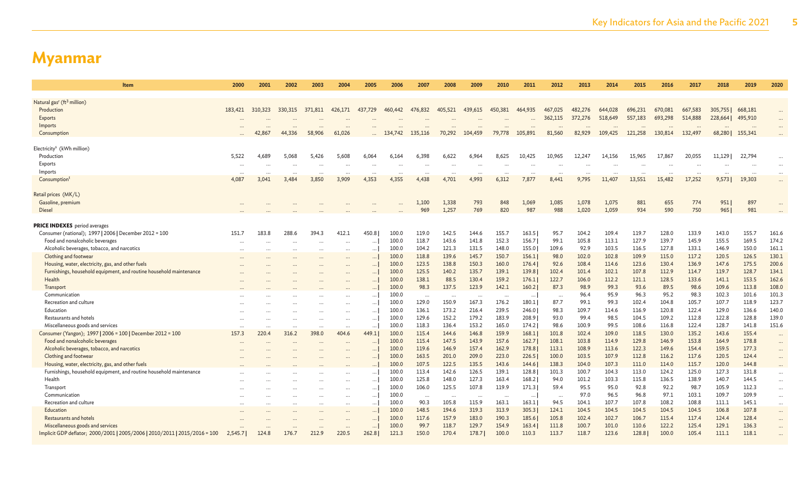| <b>Item</b>                                                                | 2000      | 2001    | 2002     | 2003     | 2004      | 2005     | 2006    | 2007     | 2008     | 2009     | 2010     | 2011     | 2012     | 2013     | 2014    | 2015     | 2016    | 2017     | 2018    | 2019     | 2020     |
|----------------------------------------------------------------------------|-----------|---------|----------|----------|-----------|----------|---------|----------|----------|----------|----------|----------|----------|----------|---------|----------|---------|----------|---------|----------|----------|
|                                                                            |           |         |          |          |           |          |         |          |          |          |          |          |          |          |         |          |         |          |         |          |          |
| Natural gas <sup>r</sup> (ft <sup>3</sup> million)<br>Production           | 183,421   | 310,323 | 330, 315 | 371,811  | 426,171   | 437,729  | 460,442 | 476,832  | 405.521  | 439,615  | 450,381  | 464,935  | 467,025  | 482,276  | 644,028 | 696,231  | 670,081 | 667,583  | 305,755 | 668,181  |          |
| Exports                                                                    |           |         |          |          |           |          |         |          |          |          |          |          | 362,115  | 372,276  | 518,649 | 557,183  | 693,298 | 514,888  | 228,664 | 495,910  | $\cdots$ |
| Imports                                                                    |           |         |          |          |           |          |         |          |          |          |          |          |          |          |         |          |         |          |         |          |          |
| Consumption                                                                |           |         | 44,336   | 58,906   | 61,026    |          | 134,742 | 135,116  | 70,292   | 104,459  | 79,778   | 105,891  | 81,560   | 82,929   | 109,425 | 121,258  | 130,814 | 132,497  | 68,280  | 155,341  | $\cdots$ |
|                                                                            |           |         |          |          |           |          |         |          |          |          |          |          |          |          |         |          |         |          |         |          |          |
| Electricity <sup>s</sup> (kWh million)                                     |           |         |          |          |           |          |         |          |          |          |          |          |          |          |         |          |         |          |         |          |          |
| Production                                                                 | 5,522     | 4,689   | 5,068    | 5,426    | 5,608     | 6,064    | 6,164   | 6,398    | 6,622    | 6,964    | 8,625    | 10,425   | 10,965   | 12,247   | 14,156  | 15,965   | 17,867  | 20,055   | 11,129  | 22,794   | $\ddots$ |
| Exports                                                                    |           |         |          |          |           |          |         |          |          |          |          |          |          |          |         |          |         |          |         |          |          |
| Imports                                                                    |           |         | $\cdots$ | $\cdots$ | $\cdots$  | $\cdots$ |         |          | $\cdots$ |          | $\cdots$ | $\cdots$ |          | $\cdots$ |         | $\cdots$ |         | $\cdots$ |         | $\cdots$ | $\cdots$ |
| Consumption                                                                | 4,087     | 3,041   | 3,484    | 3,850    | 3,909     | 4,353    | 4,355   | 4,438    | 4,701    | 4,993    | 6,312    | 7,877    | 8,441    | 9,795    | 11,407  | 13,551   | 15,482  | 17,252   | 9,573   | 19,303   | $\cdots$ |
|                                                                            |           |         |          |          |           |          |         |          |          |          |          |          |          |          |         |          |         |          |         |          |          |
| Retail prices (MK/L)                                                       |           |         |          |          |           |          |         |          |          |          |          |          |          |          |         |          |         |          |         |          |          |
| Gasoline, premium                                                          |           |         |          |          |           |          |         | 1,100    | 1,338    | 793      | 848      | 1,069    | 1,085    | 1,078    | 1,075   | 881      | 655     | 774      | 951     | 897      |          |
| Diesel                                                                     |           |         |          |          |           |          |         | 969      | 1,257    | 769      | 820      | 987      | 988      | 1,020    | 1,059   | 934      | 590     | 750      | 965     | 981      |          |
| <b>PRICE INDEXES</b> period averages                                       |           |         |          |          |           |          |         |          |          |          |          |          |          |          |         |          |         |          |         |          |          |
| Consumer (national); 1997   2006   December 2012 = 100                     | 151.7     | 183.8   | 288.6    | 394.3    | 412.1     | 450.8    | 100.0   | 119.0    | 142.5    | 144.6    | 155.7    | 163.5    | 95.7     | 104.2    | 109.4   | 119.7    | 128.0   | 133.9    | 143.0   | 155.7    | 161.6    |
| Food and nonalcoholic beverages                                            |           |         |          | $\cdots$ |           |          | 100.0   | 118.7    | 143.6    | 141.8    | 152.3    | 156.7    | 99.1     | 105.8    | 113.1   | 127.9    | 139.7   | 145.9    | 155.5   | 169.5    | 174.2    |
| Alcoholic beverages, tobacco, and narcotics                                |           |         |          | $\cdots$ |           |          | 100.0   | 104.2    | 121.3    | 131.5    | 148.0    | 155.0    | 109.6    | 92.9     | 103.5   | 116.5    | 127.8   | 133.1    | 146.9   | 150.0    | 161.1    |
| Clothing and footwear                                                      |           |         |          |          | $\ddotsc$ |          | 100.0   | 118.8    | 139.6    | 145.7    | 150.7    | 156.1    | 98.0     | 102.0    | 102.8   | 109.9    | 115.0   | 117.2    | 120.5   | 126.5    | 130.1    |
| Housing, water, electricity, gas, and other fuels                          |           |         |          |          |           |          | 100.0   | 123.5    | 138.8    | 150.3    | 160.0    | 176.4    | 92.6     | 108.4    | 114.6   | 123.6    | 130.4   | 136.9    | 147.6   | 175.5    | 200.6    |
| Furnishings, household equipment, and routine household maintenance        |           |         |          |          |           | $\cdots$ | 100.0   | 125.5    | 140.2    | 135.7    | 139.1    | 139.8    | 102.4    | 101.4    | 102.1   | 107.8    | 112.9   | 114.7    | 119.7   | 128.7    | 134.1    |
| Health                                                                     |           |         |          |          |           |          | 100.0   | 138.1    | 88.5     | 130.4    | 159.2    | 176.1    | 122.7    | 106.0    | 112.2   | 121.1    | 128.5   | 133.6    | 141.1   | 153.5    | 162.6    |
| Transport                                                                  |           |         |          |          |           |          | 100.0   | 98.3     | 137.5    | 123.9    | 142.1    | 160.2    | 87.3     | 98.9     | 99.3    | 93.6     | 89.5    | 98.6     | 109.6   | 113.8    | 108.0    |
| Communication                                                              |           |         |          |          |           |          | 100.0   | $\cdots$ | $\cdots$ | $\cdots$ | $\ddots$ | $\cdots$ | $\cdots$ | 96.4     | 95.9    | 96.3     | 95.2    | 98.3     | 102.3   | 101.6    | 101.3    |
| Recreation and culture                                                     |           |         |          |          |           |          | 100.0   | 129.0    | 150.9    | 167.3    | 176.2    | 180.1    | 87.7     | 99.1     | 99.3    | 102.4    | 104.8   | 105.7    | 107.7   | 118.9    | 123.7    |
| Education                                                                  |           |         |          |          | $\cdots$  | $\cdots$ | 100.0   | 136.1    | 173.2    | 216.4    | 239.5    | 246.0    | 98.3     | 109.7    | 114.6   | 116.9    | 120.8   | 122.4    | 129.0   | 136.6    | 140.0    |
| Restaurants and hotels                                                     |           |         |          | $\cdots$ | $\cdots$  | $\cdots$ | 100.0   | 129.6    | 152.2    | 179.2    | 183.9    | 208.9    | 93.0     | 99.4     | 98.5    | 104.5    | 109.2   | 112.8    | 122.8   | 128.8    | 139.0    |
| Miscellaneous goods and services                                           |           |         |          | $\cdots$ | $\cdots$  |          | 100.0   | 118.3    | 136.4    | 153.2    | 165.0    | 174.2    | 98.6     | 100.9    | 99.5    | 108.6    | 116.8   | 122.4    | 128.7   | 141.8    | 151.6    |
| Consumer (Yangon); 1997   2006 = 100   December 2012 = 100                 | 157.3     | 220.4   | 316.2    | 398.0    | 404.6     | 449.1    | 100.0   | 115.4    | 144.6    | 146.8    | 159.9    | 168.1    | 101.8    | 102.4    | 109.0   | 118.5    | 130.0   | 135.2    | 143.6   | 155.4    | $\cdots$ |
| Food and nonalcoholic beverages                                            |           |         |          |          |           |          | 100.0   | 115.4    | 147.5    | 143.9    | 157.6    | 162.7    | 108.1    | 103.8    | 114.9   | 129.8    | 146.9   | 153.8    | 164.9   | 178.8    |          |
| Alcoholic beverages, tobacco, and narcotics                                |           |         |          |          |           |          | 100.0   | 119.6    | 146.9    | 157.4    | 162.9    | 178.8    | 113.1    | 108.9    | 113.6   | 122.3    | 149.6   | 154.4    | 159.5   | 177.3    | $\cdots$ |
| Clothing and footwear                                                      |           |         |          |          |           |          | 100.0   | 163.5    | 201.0    | 209.0    | 223.0    | 226.5    | 100.0    | 103.5    | 107.9   | 112.8    | 116.2   | 117.6    | 120.5   | 124.4    | $\cdots$ |
| Housing, water, electricity, gas, and other fuels                          |           |         |          |          |           |          | 100.0   | 107.5    | 122.5    | 135.5    | 143.6    | 144.6    | 138.3    | 104.0    | 107.3   | 111.0    | 114.0   | 115.7    | 120.0   | 144.8    | $\cdots$ |
| Furnishings, household equipment, and routine household maintenance        |           |         |          |          |           | $\cdots$ | 100.0   | 113.4    | 142.6    | 126.5    | 139.1    | 128.8    | 101.3    | 100.7    | 104.3   | 113.0    | 124.2   | 125.0    | 127.3   | 131.8    | $\cdots$ |
| Health                                                                     |           |         |          |          | $\cdots$  | $\cdots$ | 100.0   | 125.8    | 148.0    | 127.3    | 163.4    | 168.2    | 94.0     | 101.2    | 103.3   | 115.8    | 136.5   | 138.9    | 140.7   | 144.5    | $\ldots$ |
| Transport                                                                  |           |         |          |          | $\cdots$  |          | 100.0   | 106.0    | 125.5    | 107.8    | 119.9    | 171.3    | 59.4     | 95.5     | 95.0    | 92.8     | 92.2    | 98.7     | 105.9   | 112.3    | $\cdots$ |
| Communication                                                              | $\cdots$  |         |          | $\cdots$ | $\cdots$  |          | 100.0   | $\cdots$ | $\cdot$  | .        | $\cdots$ | $\cdots$ | $\cdots$ | 97.0     | 96.5    | 96.8     | 97.1    | 103.1    | 109.7   | 109.9    | $\cdots$ |
| Recreation and culture                                                     | $\ddotsc$ |         |          |          | $\cdots$  |          | 100.0   | 90.3     | 105.8    | 115.9    | 163.1    | 163.1    | 94.5     | 104.1    | 107.7   | 107.8    | 108.2   | 108.8    | 111.1   | 145.1    | $\cdots$ |
| Education                                                                  |           |         |          | $\cdots$ | $\cdots$  | $\cdots$ | 100.0   | 148.5    | 194.6    | 319.3    | 313.9    | 305.3    | 124.1    | 104.5    | 104.5   | 104.5    | 104.5   | 104.5    | 106.8   | 107.8    | $\cdots$ |
| <b>Restaurants and hotels</b>                                              |           |         |          |          | $\cdots$  |          | 100.0   | 117.6    | 157.9    | 183.0    | 190.3    | 185.6    | 105.8    | 102.4    | 102.7   | 106.7    | 115.4   | 117.4    | 124.4   | 128.4    | $\cdots$ |
| Miscellaneous goods and services                                           |           |         |          |          |           |          | 100.0   | 99.7     | 118.7    | 129.7    | 154.9    | 163.4    | 111.8    | 100.7    | 101.0   | 110.6    | 122.2   | 125.4    | 129.1   | 136.3    | $\cdots$ |
| Implicit GDP deflator; 2000/2001   2005/2006   2010/2011   2015/2016 = 100 | 2,545.7   | 124.8   | 176.7    | 212.9    | 220.5     | 262.8    | 121.3   | 150.0    | 170.4    | 178.7    | 100.0    | 110.3    | 113.7    | 118.7    | 123.6   | 128.8    | 100.0   | 105.4    | 111.1   | 118.1    | $\cdots$ |
|                                                                            |           |         |          |          |           |          |         |          |          |          |          |          |          |          |         |          |         |          |         |          |          |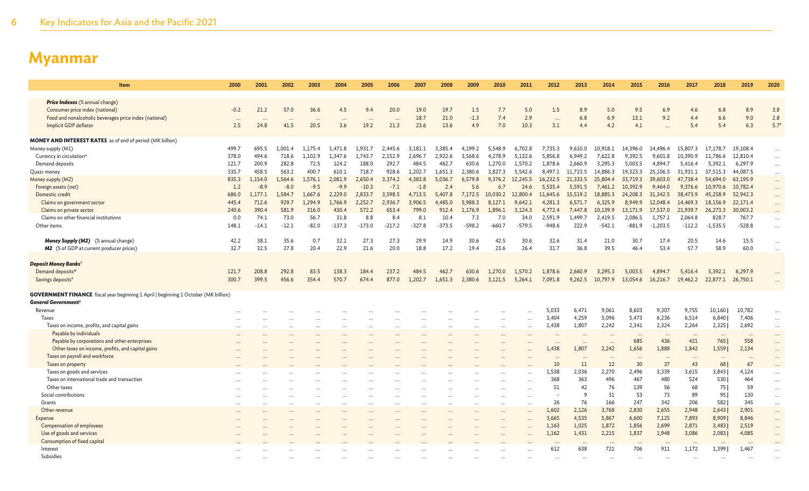| Item                                                                                       | 2000            | 2001    | 2002                         | 2003             | 2004                        | 2005     | 2006              | 2007      | 2008     | 2009      | 2010     | 2011                 | 2012            | 2013           | 2014     | 2015            | 2016           | 2017           | 2018                 | 2019           | 2020      |
|--------------------------------------------------------------------------------------------|-----------------|---------|------------------------------|------------------|-----------------------------|----------|-------------------|-----------|----------|-----------|----------|----------------------|-----------------|----------------|----------|-----------------|----------------|----------------|----------------------|----------------|-----------|
| <b>Price Indexes</b> (% annual change)                                                     |                 |         |                              |                  |                             |          |                   |           |          |           |          |                      |                 |                |          |                 |                |                |                      |                |           |
| Consumer price index (national)                                                            | $-0.2$          | 21.2    | 57.0                         | 36.6             | 4.5                         | 9.4      | 20.0              | 19.0      | 19.7     | 1.5       | 7.7      | 5.0                  | 1.5             | 8.9            | 5.0      | 9.5             | 6.9            | 4.6            | 6.8                  | 8.9            | 3.8       |
| Food and nonalcoholic beverages price index (national)                                     |                 |         |                              |                  |                             |          |                   | 18.7      | 21.0     | $-1.3$    | 7.4      | 2.9                  |                 | 6.8            | 6.9      | 13.1            | 9.2            | 4.4            | 6.6                  | 9.0            | 2.8       |
| Implicit GDP deflator                                                                      | $\cdots$<br>2.5 | 24.8    | $\ddot{\phantom{a}}$<br>41.5 | $\cdots$<br>20.5 | $\ddot{\phantom{a}}$<br>3.6 | 19.2     | $\ddotsc$<br>21.3 | 23.6      | 13.6     | 4.9       | 7.0      | 10.3                 | $\cdots$<br>3.1 | 4.4            | 4.2      | 4.1             |                | 5.4            | 5.4                  | 6.3            | $5.7^*$   |
|                                                                                            |                 |         |                              |                  |                             |          |                   |           |          |           |          |                      |                 |                |          |                 |                |                |                      |                |           |
| <b>MONEY AND INTEREST RATES</b> as of end of period (MK billion)                           |                 |         |                              |                  |                             |          |                   |           |          |           |          |                      |                 |                |          |                 |                |                |                      |                |           |
| Money supply (M1)                                                                          | 499.7           | 695.5   | 1,001.4                      | 1,175.4          | 1,471.8                     | 1.931.7  | 2,445.6           | 3,181.1   | 3,385.4  | 4,199.2   | 5,548.9  | 6,702.8              | 7,735.3         | 9,610.0        | 10,918.1 | 14,396.0        | 14,496.4       | 15,807.3       | 17,178.7             | 19,108.4       | $\cdots$  |
| Currency in circulation <sup>u</sup>                                                       | 378.0           | 494.6   | 718.6                        | 1.102.9          | 1.347.6                     | 1.743.7  | 2.152.9           | 2.696.7   | 2.922.6  | 3.568.6   | 4.278.9  | 5.132.6              | 5,856.8         | 6,949.2        | 7.622.8  | 9.392.5         | 9.601.8        | 10.390.9       | 11,786.6             | 12,810.4       | $\cdots$  |
| Demand deposits                                                                            | 121.7           | 200.9   | 282.8                        | 72.5             | 124.2                       | 188.0    | 292.7             | 484.5     | 462.7    | 630.6     | 1.270.0  | 1,570.2              | 1.878.6         | 2.660.9        | 3.295.3  | 5.003.5         | 4.894.7        | 5.416.4        | 5,392.1              | 6.297.9        | $\cdots$  |
| Quasi-money                                                                                | 335.7           | 458.5   | 563.2                        | 400.7            | 610.1                       | 718.7    | 928.6             | 1.202.7   | 1.651.3  | 2.380.6   | 3.827.3  | 5.542.6              | 8.497.1         | 11.723.5       | 14,886.3 | 19.323.3        | 25,106.5       | 31,931.1       | 37,515.3             | 44,087.5       | $\cdots$  |
| Money supply (M2)                                                                          | 835.3           | 1.154.0 | 1.564.6                      | 1,576.1          | 2.081.9                     | 2.650.4  | 3,374.2           | 4.383.8   | 5.036.7  | 6,579.8   | 9,376.2  | 12,245.5             | 16.232.5        | 21,333.5       | 25,804.4 | 33,719.3        | 39,603.0       | 47,738.4       | 54,694.0             | 63,195.9       | $\cdots$  |
| Foreign assets (net)                                                                       | 1.2             | $-8.9$  | $-8.0$                       | $-9.5$           | $-9.9$                      | $-10.3$  | $-7.1$            | $-1.8$    | 2.4      | 5.6       | 6.7      | 24.6                 | 5.535.4         | 5,591.5        | 7.461.2  | 10,392.9        | 9,464.0        | 9.376.6        | 10,970.6             | 10,782.4       | $\cdots$  |
| Domestic credit                                                                            | 686.0           | 1.177.1 | 1.584.7                      | 1.667.6          | 2.229.0                     | 2.833.7  | 3.598.5           | 4,713.5   | 5,407.8  | 7.172.5   | 10,030.2 | 12,800.4             | 11,645.6        | 15,519.2       | 18,885.3 | 24,208.3        | 31,342.5       | 38,473.9       | 45,258.9             | 52,942.3       | $\cdots$  |
| Claims on government sector                                                                | 445.4           | 712.6   | 929.7                        | 1.294.9          | 1,766.9                     | 2.252.7  | 2,936.7           | 3.906.5   | 4,485.0  | 5.988.3   | 8.127.1  | 9.642.1              | 4.281.3         | 6,571.7        | 6,325.9  | 8,949.9         | 12,048.4       | 14,469.3       | 18,156.9             | 22,171.4       | $\cdots$  |
| Claims on private sector                                                                   | 240.6           | 390.4   | 581.9                        | 316.0            | 430.4                       | 572.2    | 653.4             | 799.0     | 912.4    | 1,176.9   | 1,896.1  | 3,124.3              | 4,772.4         | 7,447.8        | 10,139.9 | 13,171.9        | 17,537.0       | 21,939.7       | 26,273.3             | 30,003.2       | $\cdots$  |
| Claims on other financial institutions                                                     | 0.0             | 74.1    | 73.0                         | 56.7             | 31.8                        | 8.8      | 8.4               | 8.1       | 10.4     | 7.3       | 7.0      | 34.0                 | 2.591.9         | 1,499.7        | 2,419.5  | 2,086.5         | 1,757.1        | 2,064.8        | 828.7                | 767.7          | $\cdots$  |
| Other items                                                                                | 148.1           | $-14.1$ | $-12.1$                      | $-82.0$          | $-137.3$                    | $-173.0$ | $-217.2$          | $-327.8$  | $-373.5$ | $-598.2$  | $-660.7$ | $-579.5$             | $-948.6$        | 222.9          | $-542.1$ | $-881.9$        | $-1.203.5$     | $-112.2$       | $-1,535.5$           | $-528.8$       | $\cdots$  |
| <b>Money Supply (M2)</b> (% annual change)                                                 | 42.2            | 38.1    | 35.6                         | 0.7              | 32.1                        | 27.3     | 27.3              | 29.9      | 14.9     | 30.6      | 42.5     | 30.6                 | 32.6            | 31.4           | 21.0     | 30.7            | 17.4           | 20.5           | 14.6                 | 15.5           |           |
| M2 (% of GDP at current producer prices)                                                   | 32.7            | 32.5    | 27.8                         | 20.4             | 22.9                        | 21.6     | 20.0              | 18.8      | 17.2     | 19.4      | 23.6     | 26.4                 | 31.7            | 36.8           | 39.5     | 46.4            | 53.4           | 57.7           | 58.9                 | 60.0           | $\cdots$  |
|                                                                                            |                 |         |                              |                  |                             |          |                   |           |          |           |          |                      |                 |                |          |                 |                |                |                      |                | $\cdots$  |
| Deposit Money Banks <sup>v</sup>                                                           |                 |         |                              |                  |                             |          |                   |           |          |           |          |                      |                 |                |          |                 |                |                |                      |                |           |
| Demand deposits <sup>w</sup>                                                               | 121.7           | 208.8   | 292.8                        | 83.5             | 138.3                       | 184.4    | 237.2             | 484.5     | 462.7    | 630.6     | 1,270.0  | 1,570.2              | 1.878.6         | 2.660.9        | 3.295.3  | 5.003.5         | 4,894.7        | 5.416.4        | 5.392.1              | 6,297.9        |           |
| Savings deposits <sup>x</sup>                                                              | 300.7           | 399.5   | 456.6                        | 354.4            | 570.7                       | 674.4    | 877.0             | 1,202.7   | 1,651.3  | 2,380.6   | 3,121.5  | 5,264.1              | 7,091.8         | 9,262.5        | 10,797.9 | 13,054.6        | 16,216.7       | 19,462.2       | 22,877.1             | 26,750.1       |           |
|                                                                                            |                 |         |                              |                  |                             |          |                   |           |          |           |          |                      |                 |                |          |                 |                |                |                      |                |           |
| <b>GOVERNMENT FINANCE</b> fiscal year beginning 1 April   beginning 1 October (MK billion) |                 |         |                              |                  |                             |          |                   |           |          |           |          |                      |                 |                |          |                 |                |                |                      |                |           |
| General Government <sup>p</sup>                                                            |                 |         |                              |                  |                             |          |                   |           |          |           |          |                      |                 |                |          |                 |                |                |                      |                |           |
| Revenue                                                                                    |                 |         |                              |                  |                             |          |                   |           |          |           |          |                      | 5,033           | 6.471          | 9,061    | 8,603           | 9,307          | 9,755          | 10,160               | 10,782         | $\cdots$  |
| Taxes                                                                                      |                 |         |                              |                  |                             |          |                   |           |          |           |          |                      | 3,404           | 4,259          | 5,096    | 5,473           | 6,236          | 6,514          | 6,840                | 7,406          | $\cdots$  |
| Taxes on income, profits, and capital gains                                                |                 |         |                              | $\cdots$         |                             |          | $\cdots$          | $\ddotsc$ |          |           | $\cdots$ | $\ddots$             | 1,438           | 1,807          | 2,242    | 2,341           | 2,324          | 2,264          | 2,325                | 2,692          | $\cdots$  |
| Payable by individuals                                                                     |                 |         |                              |                  |                             |          | $\ddotsc$         |           |          | $\ddotsc$ | $\cdots$ | $\sim$               | $\ddotsc$       | $\cdots$       |          | $\cdots$        |                | $\cdots$       | $\sim$               | $\cdots$       | $\cdots$  |
| Payable by corporations and other enterprises                                              |                 |         |                              |                  |                             |          |                   |           |          |           | $\cdots$ |                      | $\cdots$        | $\cdots$       | $\cdots$ | 685             | 436            | 421            | 765                  | 558            | $\cdots$  |
| Other taxes on income, profits, and capital gains                                          |                 |         |                              |                  |                             |          |                   |           |          |           |          |                      | 1,438           | 1,807          | 2,242    | 1,656           | 1,888          | 1,842          | 1,559                | 2,134          | $\cdots$  |
| Taxes on payroll and workforce                                                             |                 |         |                              |                  |                             |          |                   |           |          |           |          |                      | $\ddotsc$       | $\cdots$       |          | $\cdots$        |                | $\cdots$       | $\ddot{\phantom{a}}$ | $\cdots$       | $\cdots$  |
| Taxes on property                                                                          |                 |         |                              |                  |                             |          |                   |           |          |           |          |                      | 10              | 11             | 12       | 30              | 37             | 43             | 68                   | 67             | $\cdots$  |
| Taxes on goods and services                                                                |                 |         |                              |                  |                             |          |                   |           |          |           |          |                      | 1,538           | 2,036          | 2,270    | 2,496           | 3,339          | 3,615          | 3,843                | 4,124          | $\cdots$  |
| Taxes on international trade and transaction                                               |                 |         |                              |                  |                             |          |                   |           |          |           | $\cdots$ | $\sim$               | 368             | 363            | 496      | 467             | 480            | 524            | 530                  | 464            | $\cdots$  |
| Other taxes                                                                                |                 |         |                              |                  |                             |          |                   |           |          |           | $\cdots$ | $\ddot{\phantom{a}}$ | 51              | 42             | 76       | 139             | 56             | 68             | 75                   | 59             | $\cdots$  |
| Social contributions                                                                       |                 |         | $\ddotsc$                    | $\cdots$         |                             |          | $\cdots$          |           |          |           | $\cdots$ | $\ddot{\phantom{a}}$ |                 | 9              | 31       | 53              | 73             | 89             | 95                   | 130            | $\cdots$  |
| Grants                                                                                     |                 |         | $\cdots$                     | $\ddots$         |                             |          | $\cdots$          | $\ddotsc$ |          |           | $\cdots$ | $\ddotsc$            | 26              | 76             | 166      | 247             | 342            | 206            | 582                  | 345            | $\cdots$  |
| Other revenue                                                                              |                 |         |                              |                  |                             |          |                   |           |          |           |          |                      | 1,602           | 2,126<br>4,535 | 3,768    | 2,830           | 2,655          | 2,948<br>7,893 | 2,643                | 2,901<br>8,846 | $\cdots$  |
| Expense                                                                                    |                 |         |                              |                  |                             |          |                   |           |          |           |          |                      | 3,665           | 1.025          | 5,867    | 6,600           | 7,125          |                | 8,909                |                | $\cdots$  |
| Compensation of employees                                                                  |                 |         |                              |                  |                             |          |                   |           |          |           |          |                      | 1,163           |                | 1,872    | 1,856           | 2,699<br>1,948 | 2,871          | 3,483                | 2,519          | $\cdots$  |
| Use of goods and services<br>Consumption of fixed capital                                  |                 |         |                              |                  |                             |          |                   |           |          |           | $\cdots$ |                      | 1,162           | 1,431          | 2,215    | 1,837           |                | 3,086          | 2,083                | 4,085          | $\cdots$  |
|                                                                                            |                 |         |                              |                  |                             |          |                   |           |          |           |          |                      | $\cdots$        | 638            | 721      | $\cdots$<br>706 | 911            | 1.172          |                      |                |           |
| Interest<br>Subsidies                                                                      |                 |         |                              |                  |                             |          |                   |           |          |           |          |                      | 612             |                |          |                 |                |                | 1,399                | 1,467          | $\ddotsc$ |
|                                                                                            |                 |         |                              |                  |                             |          |                   |           |          |           |          |                      | $\cdots$        | $\cdots$       |          | $\cdots$        |                |                |                      |                |           |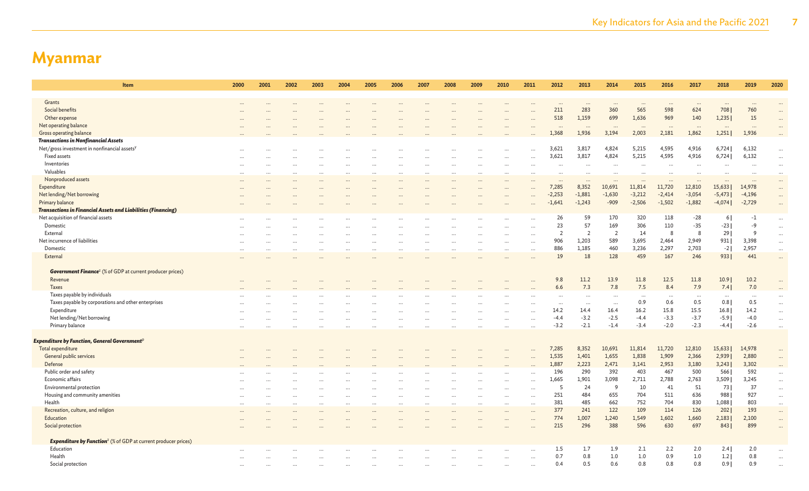| Item                                                                             | 2000      | 2001      | 2002 | 2003      | 2004     | 2005                 | 2006      | 2007      | 2008 | 2009                 | 2010      | 2011                 | 2012                 | 2013           | 2014                 | 2015     | 2016      | 2017     | 2018                 | 2019         | 2020      |
|----------------------------------------------------------------------------------|-----------|-----------|------|-----------|----------|----------------------|-----------|-----------|------|----------------------|-----------|----------------------|----------------------|----------------|----------------------|----------|-----------|----------|----------------------|--------------|-----------|
|                                                                                  |           |           |      |           |          |                      |           |           |      |                      |           |                      |                      |                |                      |          |           |          |                      |              |           |
| Grants                                                                           | $\cdots$  |           |      |           |          |                      |           |           |      |                      |           |                      | $\ddots$             |                |                      | $\cdots$ | $\ddotsc$ | $\cdots$ | $\cdots$             | $\cdots$     |           |
| Social benefits                                                                  |           |           |      |           |          |                      |           |           |      |                      |           |                      | 211                  | 283            | 360                  | 565      | 598       | 624      | 708                  | 760          | $\ddots$  |
| Other expense                                                                    |           |           |      |           |          |                      |           |           |      |                      |           |                      | 518                  | 1,159          | 699                  | 1,636    | 969       | 140      | 1,235                | 15           |           |
| Net operating balance                                                            |           |           |      |           |          |                      |           |           |      |                      |           |                      |                      |                |                      |          | $\ddotsc$ |          | $\cdots$             |              |           |
| Gross operating balance                                                          |           |           |      |           |          |                      |           |           |      |                      |           |                      | 1,368                | 1,936          | 3,194                | 2,003    | 2,181     | 1,862    | 1,251                | 1,936        |           |
| <b>Transactions in Nonfinancial Assets</b>                                       |           |           |      |           |          |                      |           |           |      |                      |           |                      |                      |                |                      |          |           |          |                      |              |           |
| Net/gross investment in nonfinancial assets <sup>y</sup>                         |           |           |      |           |          |                      |           |           |      |                      |           |                      | 3,621                | 3,817          | 4,824                | 5,215    | 4,595     | 4,916    | 6,724                | 6,132        | $\ddots$  |
| Fixed assets                                                                     |           |           |      |           |          |                      |           |           |      |                      |           |                      | 3,621                | 3,817          | 4,824                | 5,215    | 4,595     | 4,916    | 6,724                | 6,132        | $\ddotsc$ |
| Inventories                                                                      |           |           |      |           |          |                      |           |           |      |                      |           |                      |                      |                |                      |          |           |          |                      |              | $\ddots$  |
| Valuables                                                                        | $\cdots$  |           |      |           |          |                      |           |           |      |                      |           | $\ddotsc$            | $\ddot{\phantom{a}}$ | $\ddotsc$      | $\ddot{\phantom{a}}$ |          |           |          | $\ddot{\phantom{0}}$ |              | $\cdots$  |
| Nonproduced assets                                                               |           |           |      |           |          |                      |           |           |      |                      |           |                      |                      |                |                      |          |           |          |                      |              | $\ddots$  |
| Expenditure                                                                      |           |           |      |           |          |                      |           |           |      |                      |           |                      | 7,285                | 8,352          | 10,691               | 11,814   | 11,720    | 12,810   | 15,633               | 14,978       | $\ldots$  |
| Net lending/Net borrowing                                                        |           |           |      |           |          |                      |           |           |      |                      |           |                      | $-2,253$             | $-1,881$       | $-1,630$             | $-3,212$ | $-2,414$  | $-3,054$ | $-5,473$             | $-4,196$     | $\ldots$  |
| Primary balance                                                                  |           |           |      |           |          |                      |           |           |      |                      |           |                      | $-1,641$             | $-1,243$       | $-909$               | $-2,506$ | $-1,502$  | $-1,882$ | $-4,074$             | $-2,729$     | $\ldots$  |
| <b>Transactions in Financial Assets and Liabilities (Financing)</b>              |           |           |      |           |          |                      |           |           |      |                      |           |                      |                      |                |                      |          |           |          |                      |              |           |
| Net acquisition of financial assets                                              |           |           |      |           |          |                      |           |           |      |                      |           |                      | 26                   | 59             | 170                  | 320      | 118       | $-28$    | 61                   | $-1$         |           |
| Domestic                                                                         | $\cdots$  |           |      | $\ddotsc$ |          |                      |           |           |      |                      |           |                      | 23                   | 57             | 169                  | 306      | 110       | $-35$    | $-23$                | $-9$         | $\ddotsc$ |
| External                                                                         | $\cdots$  |           |      |           |          |                      |           |           |      |                      |           |                      | $\overline{2}$       | $\overline{2}$ | $\overline{2}$       | 14       | 8         | 8        | 29                   | $\mathsf{Q}$ | $\ddotsc$ |
| Net incurrence of liabilities                                                    |           |           |      |           |          |                      |           |           |      |                      |           | $\sim$               | 906                  | 1,203          | 589                  | 3,695    | 2,464     |          |                      |              | $\cdots$  |
|                                                                                  | $\cdots$  |           |      |           |          |                      |           |           |      |                      |           | $\ddot{\phantom{a}}$ |                      |                |                      |          |           | 2,949    | 931                  | 3,398        | $\cdots$  |
| Domestic                                                                         | $\cdots$  |           |      |           |          |                      |           |           |      | $\ddot{\phantom{a}}$ | $\ddotsc$ | $\cdots$             | 886                  | 1,185          | 460                  | 3,236    | 2,297     | 2,703    | $-2$                 | 2,957        | $\cdots$  |
| External                                                                         |           |           |      |           |          |                      |           |           |      |                      |           |                      | 19                   | 18             | 128                  | 459      | 167       | 246      | 9331                 | 441          | $\ddots$  |
|                                                                                  |           |           |      |           |          |                      |           |           |      |                      |           |                      |                      |                |                      |          |           |          |                      |              |           |
| <b>Government Finance<sup>z</sup></b> (% of GDP at current producer prices)      |           |           |      |           |          |                      |           |           |      |                      |           |                      |                      |                |                      |          |           |          |                      |              |           |
| Revenue                                                                          | $\cdots$  |           |      |           |          |                      |           |           |      |                      |           |                      | 9.8                  | 11.2           | 13.9                 | 11.8     | 12.5      | 11.8     | 10.9                 | 10.2         |           |
| Taxes                                                                            |           |           |      |           |          |                      |           |           |      |                      |           |                      | 6.6                  | 7.3            | 7.8                  | 7.5      | 8.4       | 7.9      | 7.4                  | 7.0          | $\ddots$  |
| Taxes payable by individuals                                                     |           |           |      |           |          |                      |           |           |      |                      |           |                      | $\cdots$             | $\ddotsc$      | $\ddotsc$            | $\cdots$ | $\cdots$  | $\ddots$ | $\cdots$             | $\cdots$     |           |
| Taxes payable by corporations and other enterprises                              |           |           |      |           |          |                      |           |           |      |                      |           |                      | $\cdots$             | $\ddotsc$      |                      | 0.9      | 0.6       | 0.5      | 0.8                  | 0.5          | $\ldots$  |
| Expenditure                                                                      | $\cdots$  |           |      |           |          |                      |           |           |      |                      |           | $\ddotsc$            | 14.2                 | 14.4           | 16.4                 | 16.2     | 15.8      | 15.5     | 16.8                 | 14.2         | $\cdots$  |
| Net lending/Net borrowing                                                        | $\cdots$  |           |      |           |          |                      |           |           |      |                      |           | $\cdots$             | $-4.4$               | $-3.2$         | $-2.5$               | $-4.4$   | $-3.3$    | $-3.7$   | $-5.9$               | $-4.0$       | $\ldots$  |
| Primary balance                                                                  | $\cdots$  |           |      |           |          |                      |           |           |      |                      |           |                      | $-3.2$               | $-2.1$         | $-1.4$               | $-3.4$   | $-2.0$    | $-2.3$   | $-4.4$               | $-2.6$       | $\ldots$  |
|                                                                                  |           |           |      |           |          |                      |           |           |      |                      |           |                      |                      |                |                      |          |           |          |                      |              |           |
| Expenditure by Function, General Government $\mathsf P$                          |           |           |      |           |          |                      |           |           |      |                      |           |                      |                      |                |                      |          |           |          |                      |              |           |
| Total expenditure                                                                |           |           |      |           |          |                      |           |           |      |                      |           |                      | 7,285                | 8,352          | 10,691               | 11,814   | 11,720    | 12,810   | 15,633               | 14,978       |           |
| General public services                                                          |           |           |      |           |          |                      |           |           |      |                      |           |                      | 1,535                | 1,401          | 1,655                | 1,838    | 1,909     | 2,366    | 2,939                | 2,880        | $\ddots$  |
| Defense                                                                          |           |           |      |           |          |                      |           |           |      |                      |           |                      | 1,887                | 2,223          | 2,471                | 3,141    | 2,953     | 3,180    | 3,243                | 3,302        | $\ddots$  |
| Public order and safety                                                          |           |           |      |           |          |                      |           |           |      |                      |           | $\ddotsc$            | 196                  | 290            | 392                  | 403      | 467       | 500      | 566                  | 592          | $\ldots$  |
| Economic affairs                                                                 | $\cdots$  |           |      |           |          |                      |           |           |      |                      |           | $\ddotsc$            | 1,665                | 1,901          | 3,098                | 2,711    | 2,788     | 2,763    | 3,509                | 3,245        | $\ldots$  |
| Environmental protection                                                         |           |           |      |           |          |                      |           |           |      |                      |           | $\ddotsc$            | - 5                  | 24             | 9                    | 10       | 41        | 51       | 73                   | 37           | $\ldots$  |
| Housing and community amenities                                                  | $\cdots$  |           |      | .         |          |                      |           |           |      |                      |           | $\ddotsc$            | 251                  | 484            | 655                  | 704      | 511       | 636      | 988                  | 927          | $\cdots$  |
| Health                                                                           |           | $\ddotsc$ |      |           | $\cdots$ | $\ddot{\phantom{a}}$ | $\ddotsc$ | $\ddotsc$ |      |                      |           | $\cdots$             | 381                  | 485            | 662                  | 752      | 704       | 830      | 1,088                | 803          |           |
| Recreation, culture, and religion                                                | $\cdots$  |           |      |           |          |                      |           |           |      |                      |           |                      | 377                  | 241            | 122                  | 109      | 114       | 126      | 202                  | 193          | $\ldots$  |
| Education                                                                        |           |           |      |           |          |                      |           |           |      |                      |           | $\ddotsc$            | 774                  | 1,007          | 1,240                | 1,549    | 1,602     | 1,660    | 2,183                | 2,100        | $\ldots$  |
|                                                                                  | $\ddotsc$ |           |      |           |          |                      |           |           |      |                      |           | $\ddotsc$            | 215                  | 296            | 388                  | 596      | 630       | 697      | 8431                 | 899          | $\cdots$  |
| Social protection                                                                |           |           |      |           |          |                      |           |           |      |                      |           | $\ddot{\phantom{a}}$ |                      |                |                      |          |           |          |                      |              | $\ddots$  |
| <b>Expenditure by Function<sup>z</sup></b> (% of GDP at current producer prices) |           |           |      |           |          |                      |           |           |      |                      |           |                      |                      |                |                      |          |           |          |                      |              |           |
|                                                                                  |           |           |      |           |          |                      |           |           |      |                      |           |                      |                      |                |                      |          |           |          |                      |              |           |
| Education                                                                        |           |           |      |           |          |                      |           |           |      |                      |           | $\ddotsc$            | 1.5                  | 1.7            | 1.9                  | 2.1      | 2.2       | 2.0      | 2.4                  | 2.0          |           |
| Health                                                                           |           |           |      |           |          |                      |           |           |      |                      |           | $\cdots$             | 0.7                  | 0.8            | 1.0                  | 1.0      | 0.9       | 1.0      | 1.2                  | 0.8          |           |
| Social protection                                                                |           |           |      |           |          |                      |           |           |      |                      |           |                      | 0.4                  | 0.5            | 0.6                  | 0.8      | 0.8       | 0.8      | 0.91                 | 0.9          |           |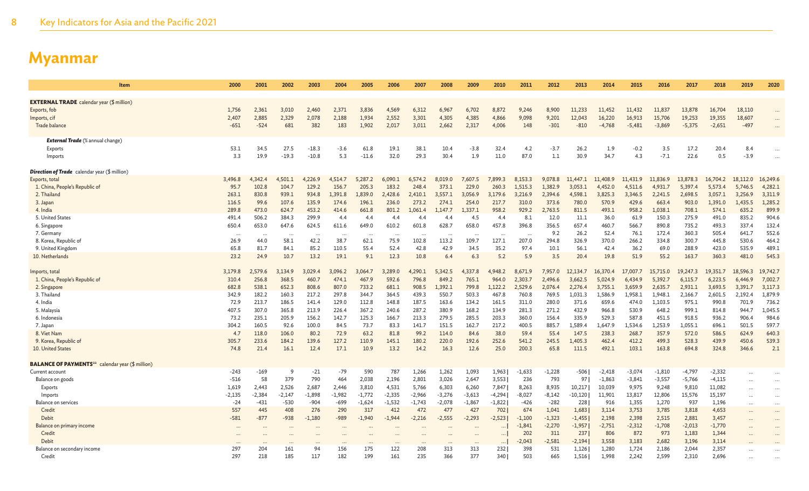| Item                                                                | 2000      | 2001      | 2002      | 2003      | 2004     | 2005      | 2006     | 2007      | 2008     | 2009     | 2010     | 2011     | 2012     | 2013      | 2014     | 2015     | 2016     | 2017     | 2018     | 2019      | 2020                 |
|---------------------------------------------------------------------|-----------|-----------|-----------|-----------|----------|-----------|----------|-----------|----------|----------|----------|----------|----------|-----------|----------|----------|----------|----------|----------|-----------|----------------------|
|                                                                     |           |           |           |           |          |           |          |           |          |          |          |          |          |           |          |          |          |          |          |           |                      |
| <b>EXTERNAL TRADE</b> calendar year (\$ million)                    |           |           |           |           |          |           |          |           |          |          |          |          |          |           |          |          |          |          |          |           |                      |
| Exports, fob                                                        | 1,756     | 2,361     | 3,010     | 2,460     | 2,371    | 3,836     | 4,569    | 6,312     | 6,967    | 6.702    | 8,872    | 9,246    | 8,900    | 11,233    | 11,452   | 11,432   | 11.837   | 13,878   | 16,704   | 18,110    | $\cdots$             |
| Imports, cif                                                        | 2,407     | 2,885     | 2,329     | 2,078     | 2,188    | 1,934     | 2,552    | 3,301     | 4,305    | 4,385    | 4,866    | 9,098    | 9,201    | 12,043    | 16,220   | 16,913   | 15,706   | 19,253   | 19,355   | 18,607    |                      |
| Trade balance                                                       | $-651$    | $-524$    | 681       | 382       | 183      | 1,902     | 2,017    | 3,011     | 2,662    | 2,317    | 4,006    | 148      | $-301$   | $-810$    | $-4,768$ | $-5,481$ | $-3,869$ | $-5,375$ | $-2,651$ | $-497$    |                      |
| <b>External Trade</b> (% annual change)                             |           |           |           |           |          |           |          |           |          |          |          |          |          |           |          |          |          |          |          |           |                      |
| Exports                                                             | 53.1      | 34.5      | 27.5      | $-18.3$   | $-3.6$   | 61.8      | 19.1     | 38.1      | 10.4     | $-3.8$   | 32.4     | 4.2      | $-3.7$   | 26.2      | 1.9      | $-0.2$   | 3.5      | 17.2     | 20.4     | 8.4       |                      |
| Imports                                                             | 3.3       | 19.9      | $-19.3$   | $-10.8$   | 5.3      | $-11.6$   | 32.0     | 29.3      | 30.4     | 1.9      | 11.0     | 87.0     | 1.1      | 30.9      | 34.7     | 4.3      | $-7.1$   | 22.6     | 0.5      | $-3.9$    |                      |
| <b>Direction of Trade</b> calendar year (\$ million)                |           |           |           |           |          |           |          |           |          |          |          |          |          |           |          |          |          |          |          |           |                      |
| Exports, total                                                      | 3,496.8   | 4.342.4   | 4.501.1   | 4,226.9   | 4,514.7  | 5.287.2   | 6.090.1  | 6,574.2   | 8.019.0  | 7,607.5  | 7,899.3  | 8.153.3  | 9.078.8  | 11,447.1  | 11,408.9 | 11,431.9 | 11,836.9 | 13,878.3 | 16,704.2 | 18,112.0  | 16,249.6             |
| 1. China, People's Republic of                                      | 95.7      | 102.8     | 104.7     | 129.2     | 156.7    | 205.3     | 183.2    | 248.4     | 373.1    | 229.0    | 260.3    | 1.515.3  | 1.382.9  | 3,053.1   | 4,452.0  | 4.511.6  | 4.931.7  | 5,397.4  | 5,573.4  | 5,746.5   | 4,282.1              |
| 2. Thailand                                                         | 263.1     | 830.8     | 939.1     | 934.8     | 1,391.8  | .,839.0   | 2,428.6  | 2,410.1   | 3,557.3  | 3,056.9  | 3,179.6  | 3,216.9  | 2.394.6  | 4,598.1   | 3,825.3  | 3,346.5  | 2,241.5  | 2,698.5  | 3,057.1  | 3,256.9   | 3,311.9              |
| 3. Japan                                                            | 116.5     | 99.6      | 107.6     | 135.9     | 174.6    | 196.1     | 236.0    | 273.2     | 274.1    | 254.0    | 217.7    | 310.0    | 373.6    | 780.0     | 570.9    | 429.6    | 663.4    | 903.0    | 1,391.0  | 1,435.5   | 1,285.2              |
| 4. India                                                            | 289.8     | 473.0     | 624.7     | 453.2     | 414.6    | 661.8     | 801.2    | 1,061.4   | 1,147.7  | .,337.1  | 958.2    | 929.2    | 2,763.5  | 811.5     | 493.1    | 958.2    | 1,038.1  | 708.1    | 574.1    | 635.2     | 899.9                |
| 5. United States                                                    | 491.4     | 506.2     | 384.3     | 299.9     | 4.4      | 4.4       | 4.4      | 4.4       | 4.4      | 4.5      | 4.4      | 8.1      | 12.0     | 11.1      | 36.0     | 61.9     | 150.3    | 275.9    | 491.0    | 835.2     | 904.6                |
| 6. Singapore                                                        | 650.4     | 653.0     | 647.6     | 624.5     | 611.6    | 649.0     | 610.2    | 601.8     | 628.7    | 658.0    | 457.8    | 396.8    | 356.5    | 657.4     | 460.7    | 566.7    | 890.8    | 735.2    | 493.3    | 337.4     | 132.4                |
| 7. Germany                                                          | $\ddotsc$ | $\ddotsc$ | $\ddotsc$ | $\cdot$ . | $\cdots$ | $\ddotsc$ | $\cdots$ | $\ddotsc$ | $\cdots$ | $\ddots$ | $\cdots$ | $\ddots$ | 9.2      | 26.2      | 52.4     | 76.1     | 172.4    | 360.3    | 505.4    | 641.7     | 552.6                |
| 8. Korea, Republic of                                               | 26.9      | 44.0      | 58.1      | 42.2      | 38.7     | 62.1      | 75.9     | 102.8     | 113.2    | 109.7    | 127.1    | 207.0    | 294.8    | 326.9     | 370.0    | 266.2    | 334.8    | 300.7    | 445.8    | 530.6     | 464.2                |
| 9. United Kingdom                                                   | 65.8      | 81.7      | 84.1      | 85.2      | 110.5    | 55.4      | 52.4     | 42.8      | 42.9     | 34.5     | 35.2     | 97.4     | 10.1     | 56.1      | 42.4     | 36.2     | 69.0     | 288.9    | 423.0    | 535.9     | 489.1                |
| 10. Netherlands                                                     | 23.2      | 24.9      | 10.7      | 13.2      | 19.1     | 9.1       | 12.3     | 10.8      | 6.4      | 6.3      | 5.2      | 5.9      | 3.5      | 20.4      | 19.8     | 51.9     | 55.2     | 163.7    | 360.3    | 481.0     | 545.3                |
| Imports, total                                                      | 3.179.8   | 2.579.6   | 3.134.9   | 3.029.4   | 3.096.2  | 3.064.7   | 3.289.0  | 4.290.1   | 5.342.5  | 4.337.8  | 4.948.2  | 8.671.9  | 7.957.0  | 12.134.7  | 16.370.4 | 17,007.7 | 15.715.0 | 19,247.3 | 19.351.7 | 18,596.3  | 19,742.7             |
| 1. China, People's Republic of                                      | 310.4     | 256.8     | 368.5     | 460.7     | 474.1    | 467.9     | 592.6    | 796.8     | 849.2    | 765.1    | 964.0    | 2,303.7  | 2,496.6  | 3,662.5   | 5,024.9  | 6,434.9  | 5,392.7  | 6,115.7  | 6,223.5  | 6,446.9   | 7,002.7              |
| 2. Singapore                                                        | 682.8     | 538.1     | 652.3     | 808.6     | 807.0    | 733.2     | 681.1    | 908.5     | 1.392.1  | 799.8    | 1,122.2  | 2,529.6  | 2.076.4  | 2,276.4   | 3,755.1  | 3.659.9  | 2,635.7  | 2,931.1  | 3,693.5  | 3,391.7   | 3,117.3              |
| 3. Thailand                                                         | 342.9     | 182.2     | 160.3     | 217.2     | 297.8    | 344.7     | 364.5    | 439.3     | 550.7    | 503.3    | 467.8    | 760.8    | 769.5    | 1.031.3   | 1.586.9  | 1.958.1  | 1,948.1  | 2.166.7  | 2,601.5  | 2.192.4   | 1,879.9              |
| 4. India                                                            | 72.9      | 213.7     | 186.5     | 141.4     | 129.0    | 112.8     | 148.8    | 187.5     | 163.6    | 134.2    | 161.5    | 311.0    | 280.0    | 371.6     | 659.6    | 474.0    | 1,103.5  | 975.1    | 990.8    | 701.9     | 736.2                |
| 5. Malaysia                                                         | 407.5     | 307.0     | 365.8     | 213.9     | 226.4    | 367.2     | 240.6    | 287.2     | 380.9    | 168.2    | 134.9    | 281.3    | 271.2    | 432.9     | 966.8    | 530.9    | 648.2    | 999.1    | 814.8    | 944.7     | 1,045.5              |
| 6. Indonesia                                                        | 73.2      | 235.1     | 205.9     | 156.2     | 142.7    | 125.3     | 166.7    | 213.3     | 279.5    | 285.5    | 203.3    | 360.0    | 156.4    | 335.9     | 529.3    | 587.8    | 451.5    | 918.5    | 936.2    | 906.4     | 984.6                |
| 7. Japan                                                            | 304.2     | 160.5     | 92.6      | 100.0     | 84.5     | 73.7      | 83.3     | 141.7     | 151.5    | 162.7    | 217.2    | 400.5    | 885.7    | 1,589.4   | 1.647.9  | 1.534.6  | 1.253.9  | 1,055.1  | 696.1    | 501.5     | 597.7                |
| 8. Viet Nam                                                         | 4.7       | 118.0     | 106.0     | 80.2      | 72.9     | 63.2      | 81.8     | 99.2      | 114.0    | 84.6     | 38.0     | 59.4     | 55.4     | 147.5     | 238.3    | 268.7    | 357.9    | 572.0    | 586.5    | 624.9     | 640.3                |
| 9. Korea, Republic of                                               | 305.7     | 233.6     | 184.2     | 139.6     | 127.2    | 110.9     | 145.1    | 180.2     | 220.0    | 192.6    | 252.6    | 541.2    | 245.5    | 1,405.3   | 462.4    | 412.2    | 499.3    | 528.3    | 439.9    | 450.6     | 539.3                |
| 10. United States                                                   | 74.8      | 21.4      | 16.1      | 12.4      | 17.1     | 10.9      | 13.2     | 14.2      | 16.3     | 12.6     | 25.0     | 200.3    | 65.8     | 111.5     | 492.1    | 103.1    | 163.8    | 694.8    | 324.8    | 346.6     | 2.1                  |
| <b>BALANCE OF PAYMENTS</b> <sup>aa</sup> calendar year (\$ million) |           |           |           |           |          |           |          |           |          |          |          |          |          |           |          |          |          |          |          |           |                      |
| Current account                                                     | $-243$    | $-169$    | -9        | $-21$     | $-79$    | 590       | 787      | 1,266     | 1,262    | 1,093    | 1,963    | $-1,633$ | $-1,228$ | $-506$    | $-2,418$ | $-3,074$ | $-1,810$ | $-4,797$ | $-2,332$ | $\ddots$  | $\ddotsc$            |
| Balance on goods                                                    | $-516$    | 58        | 379       | 790       | 464      | 2,038     | 2,196    | 2,801     | 3,026    | 2,647    | 3,553    | 236      | 793      | 97        | $-1,863$ | $-3,841$ | $-3,557$ | $-5,766$ | $-4,115$ | .         | $\cdots$             |
| Exports                                                             | 1,619     | 2,443     | 2,526     | 2,687     | 2,446    | 3,810     | 4,531    | 5,766     | 6,303    | 6,260    | 7,847    | 8,263    | 8,935    | 10,217    | 10,039   | 9,975    | 9,248    | 9,810    | 11,082   | $\cdots$  | $\cdots$             |
| Imports                                                             | $-2,135$  | $-2,384$  | $-2,147$  | $-1,898$  | $-1,982$ | $-1,772$  | $-2,335$ | $-2,966$  | $-3,276$ | $-3,613$ | $-4,294$ | $-8,027$ | -8,142   | $-10,120$ | 11,901   | 13,817   | 12,806   | 15,576   | 15,197   | .         |                      |
| Balance on services                                                 | $-24$     | $-431$    | $-530$    | $-904$    | $-699$   | $-1.624$  | $-1,532$ | $-1.743$  | $-2.078$ | $-1,867$ | $-1,822$ | $-426$   | $-282$   | 228       | 916      | 1.355    | 1,270    | 937      | 1,196    | $\cdots$  | $\ddotsc$            |
| Credit                                                              | 557       | 445       | 408       | 276       | 290      | 317       | 412      | 472       | 477      | 427      | 702      | 674      | 1,041    | 1,683     | 3,114    | 3,753    | 3,785    | 3,818    | 4,653    | $\cdots$  | $\cdots$             |
| Debit                                                               | $-581$    | $-877$    | $-938$    | $-1,180$  | $-989$   | $-1.940$  | $-1.944$ | $-2.216$  | $-2,555$ | $-2.293$ | $-2.523$ | $-1.100$ | $-1,323$ | $-1,455$  | 2,198    | 2,398    | 2,515    | 2,881    | 3,457    | $\ddotsc$ | $\ddot{\phantom{a}}$ |
| Balance on primary income                                           |           |           |           |           |          |           |          |           |          |          |          | $-1,841$ | $-2,270$ | $-1,957$  | $-2,751$ | $-2,312$ | $-1,708$ | $-2,013$ | $-1,770$ | $\ddots$  |                      |
| Credit                                                              |           |           |           |           |          |           |          |           |          |          | $\cdots$ | 202      | 311      | 237       | 806      | 872      | 973      | 1,183    | 1,344    | $\ddotsc$ | $\ddot{\phantom{a}}$ |
| Debit                                                               |           |           |           |           |          |           |          |           |          |          | $\cdots$ | $-2,043$ | $-2,581$ | $-2,194$  | 3,558    | 3,183    | 2,682    | 3,196    | 3,114    |           |                      |
| Balance on secondary income                                         | 297       | 204       | 161       | 94        | 156      | 175       | 122      | 208       | 313      | 313      | 232      | 398      | 531      | 1,126     | 1,280    | 1,724    | 2,186    | 2,044    | 2,357    |           |                      |
| Credit                                                              | 297       | 218       | 185       | 117       | 182      | 199       | 161      | 235       | 366      | 377      | 340      | 503      | 665      | 1,516     | 1,998    | 2,242    | 2,599    | 2,310    | 2,696    |           |                      |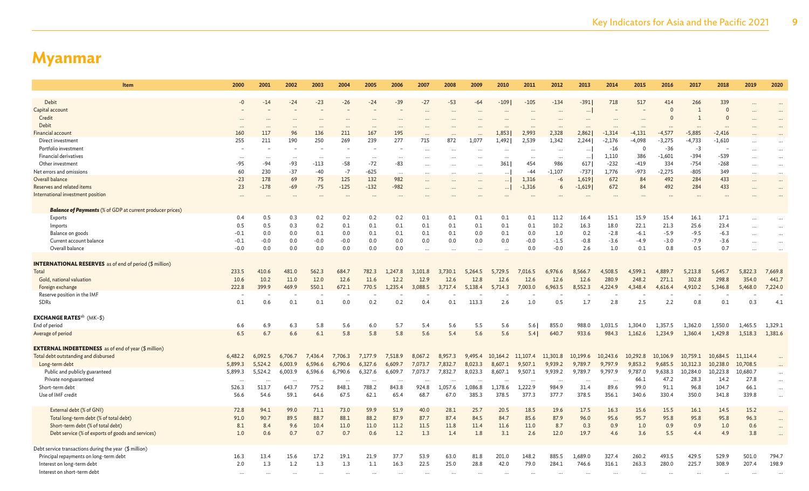| Item                                                             | 2000      | 2001     | 2002      | 2003      | 2004      | 2005     | 2006      | 2007     | 2008      | 2009     | 2010                 | 2011     | 2012             | 2013      | 2014     | 2015     | 2016     | 2017           | 2018     | 2019                 | 2020      |
|------------------------------------------------------------------|-----------|----------|-----------|-----------|-----------|----------|-----------|----------|-----------|----------|----------------------|----------|------------------|-----------|----------|----------|----------|----------------|----------|----------------------|-----------|
| Debit                                                            | $-0$      | $-14$    | $-24$     | $-23$     | $-26$     | $-24$    | $-39$     | $-27$    | $-53$     | $-64$    | $-109$               | $-105$   | $-134$           | $-391$    | 718      | 517      | 414      | 266            | 339      |                      |           |
| Capital account                                                  |           |          |           |           |           |          |           |          |           |          |                      |          | $\cdots$         | $\cdots$  |          |          | $\Omega$ | $\overline{1}$ | $\Omega$ |                      |           |
| Credit                                                           |           |          |           |           |           |          |           |          |           |          |                      |          |                  |           |          |          |          |                |          |                      |           |
| Debit                                                            |           |          |           | $\ddotsc$ | $\ddotsc$ |          | $\ddotsc$ |          |           |          | $\ddot{\phantom{a}}$ |          |                  |           |          | $\cdots$ |          | $\ddotsc$      |          |                      |           |
| <b>Financial account</b>                                         | 160       | 117      | 96        | 136       | 211       | 167      | 195       |          |           |          | 1,853                | 2,993    | 2,328            | 2,862     | $-1,314$ | $-4,131$ | $-4,577$ | $-5,885$       | $-2,416$ |                      |           |
| Direct investment                                                | 255       | 211      | 190       | 250       | 269       | 239      | 277       | 715      | 872       | 1,077    | 1,492                | 2,539    | 1,342            | 2,244     | $-2,176$ | $-4,098$ | $-3,275$ | $-4,733$       | $-1,610$ |                      |           |
| Portfolio investment                                             |           |          |           |           |           |          |           |          |           |          | $\ddotsc$            |          | $\cdots$         | $\cdots$  | $-16$    | $\Omega$ | $-36$    | $-3$           |          |                      | $\ddots$  |
| Financial derivatives                                            | $\ldots$  |          |           | $\cdots$  |           |          |           |          |           |          |                      |          |                  | $\cdots$  | 1,110    | 386      | $-1,601$ | $-394$         | $-539$   |                      | $\ddots$  |
| Other investment                                                 | $-95$     | $-94$    | $-93$     | $-113$    | -58       | $-72$    | $-83$     |          |           |          | 361                  | 454      | $\ddotsc$<br>986 | 617       | $-232$   | $-419$   | 334      | $-754$         | $-268$   | $\ddotsc$            | $\ddots$  |
| Net errors and omissions                                         | 60        | 230      | $-37$     | $-40$     | $-7$      | $-625$   | $\ddotsc$ |          |           |          | $\ddotsc$            | $-44$    | $-1,107$         | $-737$    | 1,776    | $-973$   | $-2.275$ | $-805$         | 349      | $\ddot{\phantom{a}}$ | $\cdots$  |
| Overall balance                                                  | $-23$     | 178      | 69        | 75        | 125       | 132      | 982       |          |           |          | $\ldots$             | 1,316    | $-6$             | 1,619     | 672      | 84       | 492      | 284            | 433      |                      |           |
| Reserves and related items                                       | 23        | $-178$   | $-69$     | $-75$     | $-125$    | $-132$   | $-982$    |          |           | $\cdots$ | $\ldots$             | $-1,316$ | 6                | $-1,619$  | 672      | 84       | 492      | 284            | 433      |                      | $\cdots$  |
| International investment position                                |           |          |           |           |           |          |           |          |           |          |                      |          |                  |           |          |          |          |                |          |                      | $\cdots$  |
|                                                                  |           |          |           |           |           |          | $\ddotsc$ |          |           |          |                      |          |                  |           |          | $\cdots$ |          | $\ddotsc$      |          |                      |           |
| <b>Balance of Payments</b> (% of GDP at current producer prices) |           |          |           |           |           |          |           |          |           |          |                      |          |                  |           |          |          |          |                |          |                      |           |
| Exports                                                          | 0.4       | 0.5      | 0.3       | 0.2       | 0.2       | 0.2      | 0.2       | 0.1      | 0.1       | 0.1      | 0.1                  | 0.1      | 11.2             | 16.4      | 15.1     | 15.9     | 15.4     | 16.1           | 17.1     | $\ddotsc$            | $\ddots$  |
| Imports                                                          | 0.5       | 0.5      | 0.3       | 0.2       | 0.1       | 0.1      | 0.1       | 0.1      | 0.1       | 0.1      | 0.1                  | 0.1      | 10.2             | 16.3      | 18.0     | 22.1     | 21.3     | 25.6           | 23.4     | $\ddotsc$            | $\ddots$  |
| Balance on goods                                                 | $-0.1$    | 0.0      | 0.0       | 0.1       | 0.0       | 0.1      | 0.1       | 0.1      | 0.1       | 0.0      | 0.1                  | 0.0      | 1.0              | 0.2       | $-2.8$   | $-6.1$   | $-5.9$   | $-9.5$         | $-6.3$   |                      | $\ddots$  |
| Current account balance                                          | $-0.1$    | $-0.0$   | 0.0       | $-0.0$    | $-0.0$    | 0.0      | 0.0       | 0.0      | 0.0       | 0.0      | 0.0                  | $-0.0$   | $-1.5$           | $-0.8$    | $-3.6$   | $-4.9$   | $-3.0$   | $-7.9$         | $-3.6$   |                      | $\ddots$  |
| Overall balance                                                  | $-0.0$    | 0.0      | 0.0       | 0.0       | 0.0       | 0.0      | 0.0       | $\cdots$ |           |          | $\ddotsc$            | 0.0      | $-0.0$           | 2.6       | 1.0      | 0.1      | 0.8      | 0.5            | 0.7      |                      | $\ddotsc$ |
|                                                                  |           |          |           |           |           |          |           |          |           |          |                      |          |                  |           |          |          |          |                |          |                      |           |
| <b>INTERNATIONAL RESERVES</b> as of end of period (\$ million)   |           |          |           |           |           |          |           |          |           |          |                      |          |                  |           |          |          |          |                |          |                      |           |
| Total                                                            | 233.5     | 410.6    | 481.0     | 562.3     | 684.7     | 782.3    | 1,247.8   | 3,101.8  | 3,730.1   | 5,264.5  | 5,729.5              | 7,016.5  | 6,976.6          | 8,566.7   | 4,508.5  | 4,599.1  | 4,889.7  | 5,213.8        | 5,645.7  | 5,822.3              | 7,669.8   |
| Gold, national valuation                                         | 10.6      | 10.2     | 11.0      | 12.0      | 12.6      | 11.6     | 12.2      | 12.9     | 12.6      | 12.8     | 12.6                 | 12.6     | 12.6             | 12.6      | 280.9    | 248.2    | 271.1    | 302.8          | 298.8    | 354.0                | 441.7     |
| Foreign exchange                                                 | 222.8     | 399.9    | 469.9     | 550.1     | 672.1     | 770.5    | 1,235.4   | 3,088.5  | 3,717.4   | 5,138.4  | 5,714.3              | 7,003.0  | 6,963.5          | 8,552.3   | 4,224.9  | 4,348.4  | 4,616.4  | 4,910.2        | 5,346.8  | 5,468.0              | 7,224.0   |
| Reserve position in the IMF                                      |           |          |           |           |           |          |           |          |           |          |                      |          |                  |           |          |          |          |                |          |                      |           |
| SDRs                                                             | 0.1       | 0.6      | 0.1       | 0.1       | 0.0       | 0.2      | 0.2       | 0.4      | 0.1       | 113.3    | 2.6                  | 1.0      | 0.5              | 1.7       | 2.8      | 2.5      | 2.2      | 0.8            | 0.1      | 0.3                  | 4.1       |
|                                                                  |           |          |           |           |           |          |           |          |           |          |                      |          |                  |           |          |          |          |                |          |                      |           |
| <b>EXCHANGE RATES</b> <sup>ab</sup> (MK-\$)                      |           |          |           |           |           |          |           |          |           |          |                      |          |                  |           |          |          |          |                |          |                      |           |
| End of period                                                    | 6.6       | 6.9      | 6.3       | 5.8       | 5.6       | 6.0      | 5.7       | 5.4      | 5.6       | 5.5      | 5.6                  | 5.6      | 855.0            | 988.0     | 1.031.5  | 1.304.0  | 1.357.5  | 1.362.0        | 1,550.0  | 1,465.5              | 1,329.1   |
| Average of period                                                | 6.5       | 6.7      | 6.6       | 6.1       | 5.8       | 5.8      | 5.8       | 5.6      | 5.4       | 5.6      | 5.6                  | 5.4      | 640.7            | 933.6     | 984.3    | 1,162.6  | 1,234.9  | 1,360.4        | 1,429.8  | 1,518.3              | 1,381.6   |
|                                                                  |           |          |           |           |           |          |           |          |           |          |                      |          |                  |           |          |          |          |                |          |                      |           |
| <b>EXTERNAL INDEBTEDNESS</b> as of end of year (\$ million)      |           |          |           |           |           |          |           |          |           |          |                      |          |                  |           |          |          |          |                |          |                      |           |
| Total debt outstanding and disbursed                             | 6,482.2   | 6,092.5  | 6,706.7   | 7,436.4   | 7,706.3   | 7.177.9  | 7,518.9   | 8,067.2  | 8,957.3   | 9,495.4  | 10,164.2             | 11,107.4 | 11,301.8         | 10,199.6  | 10,243.6 | 10,292.8 | 10,106.9 | 10.759.1       | 10,684.5 | 11,114.4             |           |
| Long-term debt                                                   | 5,899.3   | 5,524.2  | 6,003.9   | 6,596.6   | 6,790.6   | 6,327.6  | 6.609.7   | 7,073.7  | 7,832.7   | 8,023.3  | 8,607.1              | 9,507.1  | 9,939.2          | 9,789.7   | 9,797.9  | 9,853.2  | 9.685.5  | 10.312.3       | 10,238.0 | 10,708.5             |           |
| Public and publicly guaranteed                                   | 5.899.3   | 5.524.2  | 6.003.9   | 6.596.6   | 6,790.6   | 6,327.6  | 6.609.7   | 7.073.7  | 7,832.7   | 8,023.3  | 8,607.1              | 9,507.1  | 9.939.2          | 9.789.7   | 9.797.9  | 9,787.0  | 9.638.3  | 10.284.0       | 10,223.8 | 10,680.7             | $\ddots$  |
| Private nonguaranteed                                            | $\ddotsc$ | $\cdots$ | $\ddotsc$ |           | $\ddotsc$ | $\cdots$ | $\ddotsc$ |          | $\ddotsc$ |          | $\ddotsc$            |          | $\cdots$         | $\ddotsc$ |          | 66.1     | 47.2     | 28.3           | 14.2     | 27.8                 | $\ddots$  |
| Short-term debt                                                  | 526.3     | 513.7    | 643.7     | 775.2     | 848.1     | 788.2    | 843.8     | 924.8    | 1,057.6   | 1,086.8  | 1,178.6              | 1,222.9  | 984.9            | 31.4      | 89.6     | 99.0     | 91.1     | 96.8           | 104.7    | 66.1                 | $\ddotsc$ |
| Use of IMF credit                                                | 56.6      | 54.6     | 59.1      | 64.6      | 67.5      | 62.1     | 65.4      | 68.7     | 67.0      | 385.3    | 378.5                | 377.3    | 377.7            | 378.5     | 356.1    | 340.6    | 330.4    | 350.0          | 341.8    | 339.8                | $\ddotsc$ |
| External debt (% of GNI)                                         | 72.8      | 94.1     | 99.0      | 71.1      | 73.0      | 59.9     | 51.9      | 40.0     | 28.1      | 25.7     | 20.5                 | 18.5     | 19.6             | 17.5      | 16.3     | 15.6     | 15.5     | 16.1           | 14.5     | 15.2                 |           |
| Total long-term debt (% of total debt)                           | 91.0      | 90.7     | 89.5      | 88.7      | 88.1      | 88.2     | 87.9      | 87.7     | 87.4      | 84.5     | 84.7                 | 85.6     | 87.9             | 96.0      | 95.6     | 95.7     | 95.8     | 95.8           | 95.8     | 96.3                 | $\ddotsc$ |
| Short-term debt (% of total debt)                                | 8.1       | 8.4      | 9.6       | 10.4      | 11.0      | 11.0     | 11.2      | 11.5     | 11.8      | 11.4     | 11.6                 | 11.0     | 8.7              | 0.3       | 0.9      | 1.0      | 0.9      | 0.9            | 1.0      | 0.6                  | $\ddots$  |
|                                                                  | 1.0       | 0.6      | 0.7       | 0.7       | 0.7       | 0.6      | 1.2       | 1.3      | 1.4       | 1.8      | 3.1                  | 2.6      | 12.0             | 19.7      | 4.6      | 3.6      | 5.5      | 4.4            | 4.9      | 3.8                  | $\ddots$  |
| Debt service (% of exports of goods and services)                |           |          |           |           |           |          |           |          |           |          |                      |          |                  |           |          |          |          |                |          |                      |           |
| Debt service transactions during the year (\$ million)           |           |          |           |           |           |          |           |          |           |          |                      |          |                  |           |          |          |          |                |          |                      |           |
| Principal repayments on long-term debt                           | 16.3      | 13.4     | 15.6      | 17.2      | 19.1      | 21.9     | 37.7      | 53.9     | 63.0      | 81.8     | 201.0                | 148.2    | 885.5            | 1,689.0   | 327.4    | 260.2    | 493.5    | 429.5          | 529.9    | 501.0                | 794.7     |
| Interest on long-term debt                                       | 2.0       | 1.3      | 1.2       | 1.3       | 1.3       | 1.1      | 16.3      | 22.5     | 25.0      | 28.8     | 42.0                 | 79.0     | 284.1            | 746.6     | 316.1    | 263.3    | 280.0    | 225.7          | 308.9    | 207.4                | 198.9     |
| Interest on short-term debt                                      |           |          |           |           |           |          |           |          |           |          |                      |          |                  |           |          |          |          |                |          |                      |           |
|                                                                  |           |          |           |           |           |          |           |          |           |          |                      |          |                  |           |          |          |          |                |          |                      |           |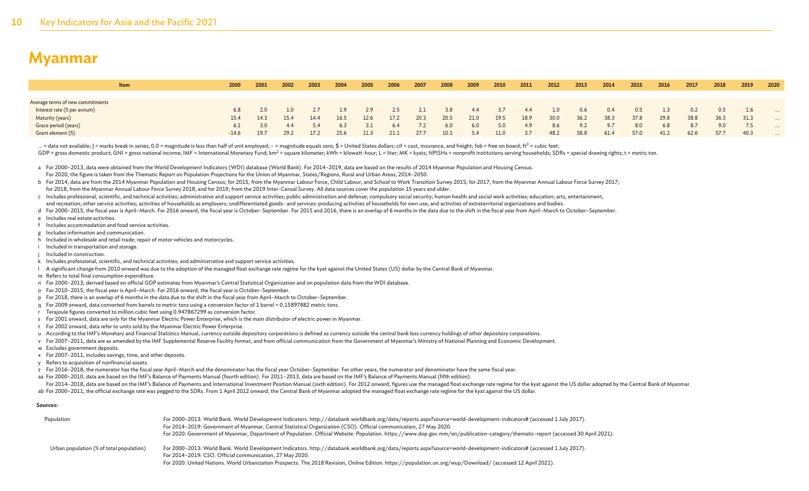| <b>Item</b>                      | 2000    | 2001 | 2002 | 2003 | 2004 | 2005 | 2006 | 2007 | 2008 | 2009 | 2010 | 2011 | 2012 | 2013 | 2014 | 2015 | 2016 | 2017 | 2018 | 2019 | 2020     |
|----------------------------------|---------|------|------|------|------|------|------|------|------|------|------|------|------|------|------|------|------|------|------|------|----------|
|                                  |         |      |      |      |      |      |      |      |      |      |      |      |      |      |      |      |      |      |      |      |          |
| Average terms of new commitments |         |      |      |      |      |      |      |      |      |      |      |      |      |      |      |      |      |      |      |      |          |
| Interest rate (% per annum)      | 6.8     |      |      |      |      |      |      |      | 3.8  | 4.4  |      |      | 1.0  | 0.6  | 0.4  | 0.5  |      | 0.2  | 0.5  | 1.6  | $\cdots$ |
| Maturity (years)                 | 15.4    | 14.3 | 15.4 | 14.4 | 16.5 | 12.6 | 17.2 | 20.3 | 20.5 | 21.0 | 19.5 | 18.9 | 30.0 | 36.2 | 38.3 | 37.8 | 29.8 | 38.8 | 36.3 | 31.3 | $\cdots$ |
| Grace period (years)             | 6.1     | 3.0  | -4.4 |      | 6.3  |      | 6.4  |      | 6.0  | 6.0  | 5.0  | 49   | 8.6  | 9.2  | 9.7  | 8.0  | 6.8  | 8.7  | 9.0  |      | $\cdots$ |
| Grant element (%)                | $-14.6$ | 19.7 | 29.2 | 17.2 | 25.6 | 11.3 | 21.1 | 27.7 | 10.1 | 5.4  | 11.0 | -3.7 | 48.2 | 58.8 | 61.4 | 57.0 | 41.2 | 62.6 | 57.7 | 40.3 | $\cdots$ |

... = data not available; | = marks break in series; 0.0 = magnitude is less than half of unit employed; - = magnitude equals zero; \$ = United States dollars; cif = cost, insurance, and freight; fob = free on board; ft<sup>3</sup>

GDP = gross domestic product; GNI = gross national income; IMF = International Monetary Fund; km<sup>2</sup> = square kilometer; kWh = kilowatt-hour; L = liter; MK = kyats; NPISHs = nonprofit institutions serving households; SDRs =

a For 2000-2013, data were obtained from the World Development Indicators (WDI) database (World Bank). For 2014-2019, data are based on the results of 2014 Myanmar Population and Housing Census.

For 2020, the figure is taken from the Thematic Report on Population Projections for the Union of Myanmar, States/Regions, Rural and Urban Areas, 2014–2050.

b For 2014, data are from the 2014 Myanmar Population and Housing Census; for 2015, from the Myanmar Labour Force, Child Labour, and School to Work Transition Survey 2015; for 2017, from the Myanmar Annual Labour Force Sur

for 2018, from the Myanmar Annual Labour Force Survey 2018; and for 2019, from the 2019 Inter-Censal Survey. All data sources cover the population 15 years and older.

c Includes professional, scientific, and technical activities; administrative and support service activities; public administration and defense; compulsory social security; human health and social work activities; educatio and recreation; other service activities; activities of households as employers; undifferentiated goods- and services-producing activities of households for own use; and activities of extraterritorial organizations and bod

d For 2000-2015, the fiscal year is April-March, For 2016 onward, the fiscal year is October-September, For 2015 and 2016, there is an overlap of 6 months in the data due to the shift in the fiscal year from April-March to

e Includes real estate activities.

f Includes accommodation and food service activities.

g Includes information and communication.

h Included in wholesale and retail trade; repair of motor vehicles and motorcycles.

i Included in transportation and storage.

j Included in construction.

k Includes professional, scientific, and technical activities; and administrative and support service activities.

l A significant change from 2010 onward was due to the adoption of the managed float exchange rate regime for the kyat against the United States (US) dollar by the Central Bank of Myanmar.

m Refers to total final consumption expenditure.

- n For 2000–2013, derived based on official GDP estimates from Myanmar's Central Statistical Organization and on population data from the WDI database.
- o For 2010–2015, the fiscal year is April–March. For 2016 onward, the fiscal year is October–September.
- p For 2018, there is an overlap of 6 months in the data due to the shift in the fiscal year from April–March to October–September.
- q For 2009 onward, data converted from barrels to metric tons using a conversion factor of 1 barrel = 0.15897882 metric tons.
- r Terajoule figures converted to million cubic feet using 0.947867299 as conversion factor.
- s For 2001 onward, data are only for the Myanmar Electric Power Enterprise, which is the main distributor of electric power in Myanmar.
- t For 2002 onward, data refer to units sold by the Myanmar Electric Power Enterprise.
- u According to the IMF's Monetary and Financial Statistics Manual, currency outside depository corporations is defined as currency outside the central bank less currency holdings of other depository corporations.
- v For 2007–2011, data are as amended by the IMF Supplemental Reserve Facility format, and from official communication from the Government of Myanmar's Ministry of National Planning and Economic Development.
- w Excludes government deposits.
- x For 2007–2011, includes savings, time, and other deposits.
- y Refers to acquisition of nonfinancial assets.

z For 2016–2018, the numerator has the fiscal year April–March and the denominator has the fiscal year October–September. For other years, the numerator and denominator have the same fiscal year.

- aa For 2000-2010, data are based on the IMF's Balance of Payments Manual (fourth edition). For 2011-2013, data are based on the IMF's Balance of Payments Manual (fifth edition).
- For 2014-2018, data are based on the IMF's Balance of Payments and International Investment Position Manual (sixth edition). For 2012 onward, figures use the managed float exchange rate regime for the kyat against the US d
- ab For 2000–2011, the official exchange rate was pegged to the SDRs. From 1 April 2012 onward, the Central Bank of Myanmar adopted the managed float exchange rate regime for the kyat against the US dollar.

#### **Sources:**

| Population                               | For 2000-2013: World Bank. World Development Indicators. http://databank.worldbank.org/data/reports.aspx?source=world-development-indicators# (accessed 1 July 2017).<br>For 2014-2019: Government of Myanmar, Central Statistical Organization (CSO). Official communication, 27 May 2020.<br>For 2020: Government of Myanmar, Department of Population. Official Website: Population. https://www.dop.gov.mm/en/publication-category/thematic-report (accessed 30 April 2021). |
|------------------------------------------|----------------------------------------------------------------------------------------------------------------------------------------------------------------------------------------------------------------------------------------------------------------------------------------------------------------------------------------------------------------------------------------------------------------------------------------------------------------------------------|
| Urban population (% of total population) | For 2000–2013: World Bank. World Development Indicators. http://databank.worldbank.org/data/reports.aspx?source=world-development-indicators# (accessed 1 July 2017).<br>For 2014-2019: CSO. Official communication, 27 May 2020.<br>For 2020: United Nations. World Urbanization Prospects: The 2018 Revision, Online Edition. https://population.un.org/wup/Download/ (accessed 12 April 2021).                                                                                |